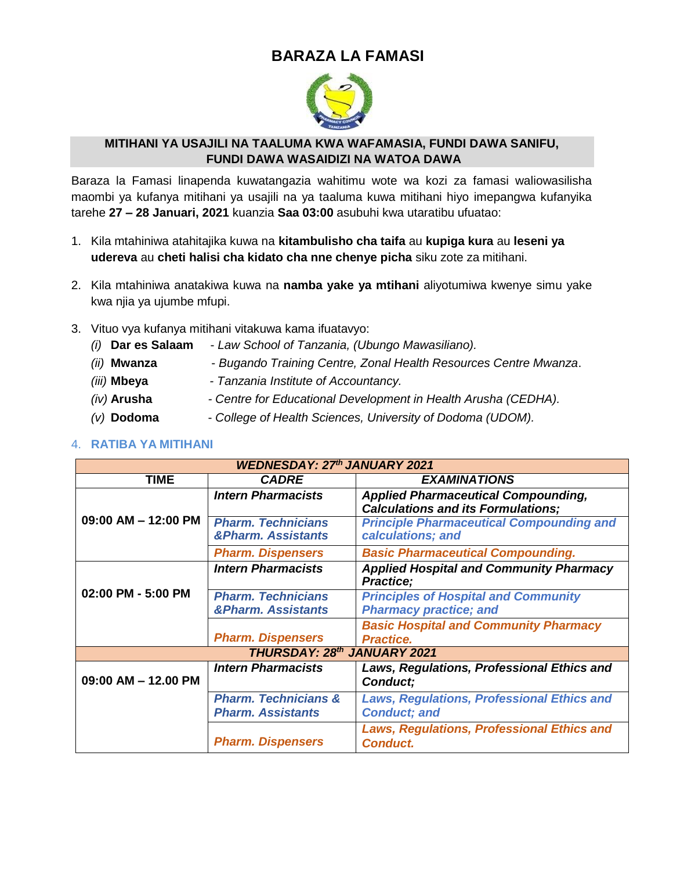## **BARAZA LA FAMASI**



#### **MITIHANI YA USAJILI NA TAALUMA KWA WAFAMASIA, FUNDI DAWA SANIFU, FUNDI DAWA WASAIDIZI NA WATOA DAWA**

Baraza la Famasi linapenda kuwatangazia wahitimu wote wa kozi za famasi waliowasilisha maombi ya kufanya mitihani ya usajili na ya taaluma kuwa mitihani hiyo imepangwa kufanyika tarehe **27 – 28 Januari, 2021** kuanzia **Saa 03:00** asubuhi kwa utaratibu ufuatao:

- 1. Kila mtahiniwa atahitajika kuwa na **kitambulisho cha taifa** au **kupiga kura** au **leseni ya udereva** au **cheti halisi cha kidato cha nne chenye picha** siku zote za mitihani.
- 2. Kila mtahiniwa anatakiwa kuwa na **namba yake ya mtihani** aliyotumiwa kwenye simu yake kwa njia ya ujumbe mfupi.
- 3. Vituo vya kufanya mitihani vitakuwa kama ifuatavyo:
	- *(i)* **Dar es Salaam**  *Law School of Tanzania, (Ubungo Mawasiliano).*
	- *(ii)* **Mwanza** *Bugando Training Centre, Zonal Health Resources Centre Mwanza*.
	- *(iii)* **Mbeya** *- Tanzania Institute of Accountancy.*
	- *(iv)* **Arusha** *- Centre for Educational Development in Health Arusha (CEDHA).*
	- *(v)* **Dodoma** *College of Health Sciences, University of Dodoma (UDOM).*

#### 4. **RATIBA YA MITIHANI**

| <b>WEDNESDAY: 27th JANUARY 2021</b> |                                 |                                                             |  |  |  |
|-------------------------------------|---------------------------------|-------------------------------------------------------------|--|--|--|
| <b>TIME</b>                         | <b>CADRE</b>                    | <b>EXAMINATIONS</b>                                         |  |  |  |
|                                     | <b>Intern Pharmacists</b>       | <b>Applied Pharmaceutical Compounding,</b>                  |  |  |  |
|                                     |                                 | <b>Calculations and its Formulations;</b>                   |  |  |  |
| $09:00$ AM $-$ 12:00 PM             | <b>Pharm. Technicians</b>       | <b>Principle Pharmaceutical Compounding and</b>             |  |  |  |
|                                     | <b>&amp;Pharm. Assistants</b>   | calculations; and                                           |  |  |  |
|                                     | <b>Pharm. Dispensers</b>        | <b>Basic Pharmaceutical Compounding.</b>                    |  |  |  |
|                                     | <b>Intern Pharmacists</b>       | <b>Applied Hospital and Community Pharmacy</b><br>Practice; |  |  |  |
| 02:00 PM - 5:00 PM                  | <b>Pharm. Technicians</b>       | <b>Principles of Hospital and Community</b>                 |  |  |  |
|                                     | <b>&amp;Pharm. Assistants</b>   | <b>Pharmacy practice; and</b>                               |  |  |  |
|                                     |                                 | <b>Basic Hospital and Community Pharmacy</b>                |  |  |  |
|                                     | <b>Pharm. Dispensers</b>        | <b>Practice.</b>                                            |  |  |  |
|                                     | THURSDAY: 28th JANUARY 2021     |                                                             |  |  |  |
|                                     | <b>Intern Pharmacists</b>       | Laws, Regulations, Professional Ethics and                  |  |  |  |
| $09:00$ AM $-$ 12.00 PM             |                                 | Conduct;                                                    |  |  |  |
|                                     | <b>Pharm. Technicians &amp;</b> | <b>Laws, Regulations, Professional Ethics and</b>           |  |  |  |
| <b>Pharm. Assistants</b>            |                                 | <b>Conduct</b> ; and                                        |  |  |  |
|                                     |                                 | <b>Laws, Regulations, Professional Ethics and</b>           |  |  |  |
|                                     | <b>Pharm. Dispensers</b>        | <b>Conduct.</b>                                             |  |  |  |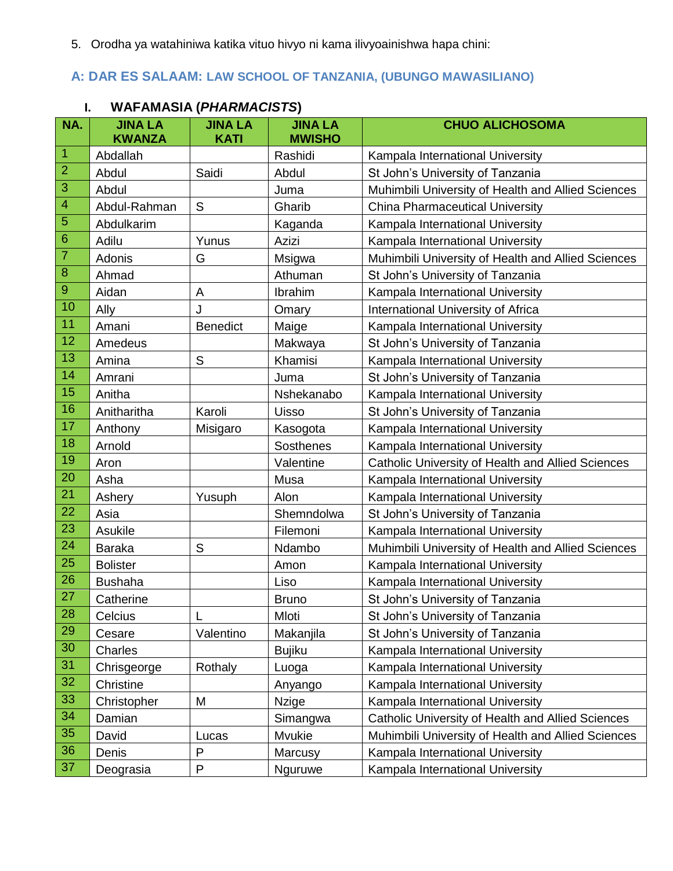5. Orodha ya watahiniwa katika vituo hivyo ni kama ilivyoainishwa hapa chini:

# **A: DAR ES SALAAM: LAW SCHOOL OF TANZANIA, (UBUNGO MAWASILIANO)**

|                           | ı.<br>WAFAMASIA ( <i>PHARMACI</i> SIS) |                               |                                 |                                                    |  |
|---------------------------|----------------------------------------|-------------------------------|---------------------------------|----------------------------------------------------|--|
| NA.                       | <b>JINA LA</b><br><b>KWANZA</b>        | <b>JINA LA</b><br><b>KATI</b> | <b>JINA LA</b><br><b>MWISHO</b> | <b>CHUO ALICHOSOMA</b>                             |  |
| $\overline{1}$            | Abdallah                               |                               | Rashidi                         | Kampala International University                   |  |
| $\overline{2}$            | Abdul                                  | Saidi                         | Abdul                           | St John's University of Tanzania                   |  |
| $\ensuremath{\mathsf{3}}$ | Abdul                                  |                               | Juma                            | Muhimbili University of Health and Allied Sciences |  |
| $\overline{4}$            | Abdul-Rahman                           | $\mathsf S$                   | Gharib                          | <b>China Pharmaceutical University</b>             |  |
| $\overline{5}$            | Abdulkarim                             |                               | Kaganda                         | Kampala International University                   |  |
| $6\phantom{1}6$           | Adilu                                  | Yunus                         | Azizi                           | Kampala International University                   |  |
| $\overline{7}$            | Adonis                                 | G                             | Msigwa                          | Muhimbili University of Health and Allied Sciences |  |
| $\bf8$                    | Ahmad                                  |                               | Athuman                         | St John's University of Tanzania                   |  |
| $\boldsymbol{9}$          | Aidan                                  | A                             | Ibrahim                         | Kampala International University                   |  |
| 10                        | Ally                                   | J                             | Omary                           | International University of Africa                 |  |
| 11                        | Amani                                  | <b>Benedict</b>               | Maige                           | Kampala International University                   |  |
| 12                        | Amedeus                                |                               | Makwaya                         | St John's University of Tanzania                   |  |
| 13                        | Amina                                  | S                             | Khamisi                         | Kampala International University                   |  |
| 14                        | Amrani                                 |                               | Juma                            | St John's University of Tanzania                   |  |
| 15                        | Anitha                                 |                               | Nshekanabo                      | Kampala International University                   |  |
| 16                        | Anitharitha                            | Karoli                        | <b>Uisso</b>                    | St John's University of Tanzania                   |  |
| 17                        | Anthony                                | Misigaro                      | Kasogota                        | Kampala International University                   |  |
| 18                        | Arnold                                 |                               | <b>Sosthenes</b>                | Kampala International University                   |  |
| 19                        | Aron                                   |                               | Valentine                       | Catholic University of Health and Allied Sciences  |  |
| 20                        | Asha                                   |                               | Musa                            | Kampala International University                   |  |
| 21                        | Ashery                                 | Yusuph                        | Alon                            | Kampala International University                   |  |
| 22                        | Asia                                   |                               | Shemndolwa                      | St John's University of Tanzania                   |  |
| 23                        | Asukile                                |                               | Filemoni                        | Kampala International University                   |  |
| 24                        | <b>Baraka</b>                          | S                             | Ndambo                          | Muhimbili University of Health and Allied Sciences |  |
| 25                        | <b>Bolister</b>                        |                               | Amon                            | Kampala International University                   |  |
| 26                        | <b>Bushaha</b>                         |                               | Liso                            | Kampala International University                   |  |
| 27                        | Catherine                              |                               | <b>Bruno</b>                    | St John's University of Tanzania                   |  |
| 28                        | Celcius                                | L                             | Mloti                           | St John's University of Tanzania                   |  |
| 29                        | Cesare                                 | Valentino                     | Makanjila                       | St John's University of Tanzania                   |  |
| 30                        | Charles                                |                               | <b>Bujiku</b>                   | Kampala International University                   |  |
| 31                        | Chrisgeorge                            | Rothaly                       | Luoga                           | Kampala International University                   |  |
| 32                        | Christine                              |                               | Anyango                         | Kampala International University                   |  |
| 33                        | Christopher                            | M                             | <b>Nzige</b>                    | Kampala International University                   |  |
| 34                        | Damian                                 |                               | Simangwa                        | Catholic University of Health and Allied Sciences  |  |
| 35                        | David                                  | Lucas                         | Mvukie                          | Muhimbili University of Health and Allied Sciences |  |
| 36                        | Denis                                  | P                             | Marcusy                         | Kampala International University                   |  |
| 37                        | Deograsia                              | P                             | Nguruwe                         | Kampala International University                   |  |

# **I. WAFAMASIA (***PHARMACISTS***)**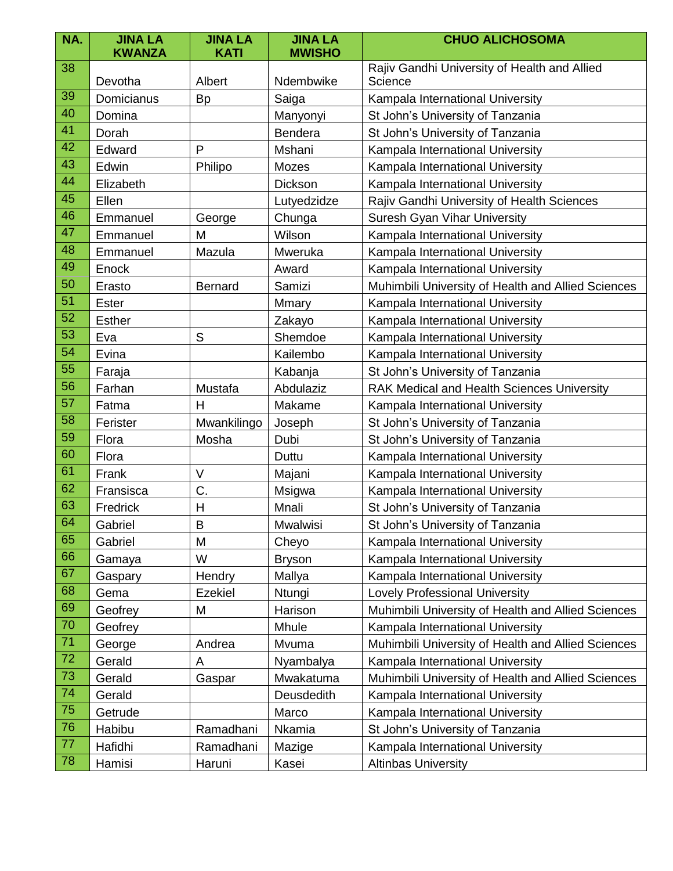| NA. | <b>JINA LA</b> | <b>JINA LA</b> | <b>JINA LA</b> | <b>CHUO ALICHOSOMA</b>                                  |
|-----|----------------|----------------|----------------|---------------------------------------------------------|
|     | <b>KWANZA</b>  | <b>KATI</b>    | <b>MWISHO</b>  |                                                         |
| 38  | Devotha        | Albert         | Ndembwike      | Rajiv Gandhi University of Health and Allied<br>Science |
| 39  | Domicianus     | <b>Bp</b>      | Saiga          | Kampala International University                        |
| 40  | Domina         |                | Manyonyi       | St John's University of Tanzania                        |
| 41  | Dorah          |                | Bendera        | St John's University of Tanzania                        |
| 42  | Edward         | P              | Mshani         | Kampala International University                        |
| 43  | Edwin          | Philipo        | Mozes          | Kampala International University                        |
| 44  | Elizabeth      |                | Dickson        | Kampala International University                        |
| 45  | Ellen          |                | Lutyedzidze    | Rajiv Gandhi University of Health Sciences              |
| 46  | Emmanuel       | George         | Chunga         | Suresh Gyan Vihar University                            |
| 47  | Emmanuel       | M              | Wilson         | Kampala International University                        |
| 48  | Emmanuel       | Mazula         | Mweruka        | Kampala International University                        |
| 49  | Enock          |                | Award          | Kampala International University                        |
| 50  | Erasto         | <b>Bernard</b> | Samizi         | Muhimbili University of Health and Allied Sciences      |
| 51  | Ester          |                | Mmary          | Kampala International University                        |
| 52  | <b>Esther</b>  |                | Zakayo         | Kampala International University                        |
| 53  | Eva            | S              | Shemdoe        | Kampala International University                        |
| 54  | Evina          |                | Kailembo       | Kampala International University                        |
| 55  | Faraja         |                | Kabanja        | St John's University of Tanzania                        |
| 56  | Farhan         | Mustafa        | Abdulaziz      | <b>RAK Medical and Health Sciences University</b>       |
| 57  | Fatma          | H              | Makame         | Kampala International University                        |
| 58  | Ferister       | Mwankilingo    | Joseph         | St John's University of Tanzania                        |
| 59  | Flora          | Mosha          | Dubi           | St John's University of Tanzania                        |
| 60  | Flora          |                | Duttu          | Kampala International University                        |
| 61  | Frank          | $\vee$         | Majani         | Kampala International University                        |
| 62  | Fransisca      | C.             | Msigwa         | Kampala International University                        |
| 63  | Fredrick       | $\mathsf{H}$   | Mnali          | St John's University of Tanzania                        |
| 64  | Gabriel        | $\overline{B}$ | Mwalwisi       | St John's University of Tanzania                        |
| 65  | Gabriel        | M              | Cheyo          | Kampala International University                        |
| 66  | Gamaya         | W              | <b>Bryson</b>  | Kampala International University                        |
| 67  | Gaspary        | Hendry         | Mallya         | Kampala International University                        |
| 68  | Gema           | Ezekiel        | Ntungi         | <b>Lovely Professional University</b>                   |
| 69  | Geofrey        | M              | Harison        | Muhimbili University of Health and Allied Sciences      |
| 70  | Geofrey        |                | Mhule          | Kampala International University                        |
| 71  | George         | Andrea         | Mvuma          | Muhimbili University of Health and Allied Sciences      |
| 72  | Gerald         | A              | Nyambalya      | Kampala International University                        |
| 73  | Gerald         | Gaspar         | Mwakatuma      | Muhimbili University of Health and Allied Sciences      |
| 74  | Gerald         |                | Deusdedith     | Kampala International University                        |
| 75  | Getrude        |                | Marco          | Kampala International University                        |
| 76  | Habibu         | Ramadhani      | Nkamia         | St John's University of Tanzania                        |
| 77  | Hafidhi        | Ramadhani      | Mazige         | Kampala International University                        |
| 78  | Hamisi         | Haruni         | Kasei          | <b>Altinbas University</b>                              |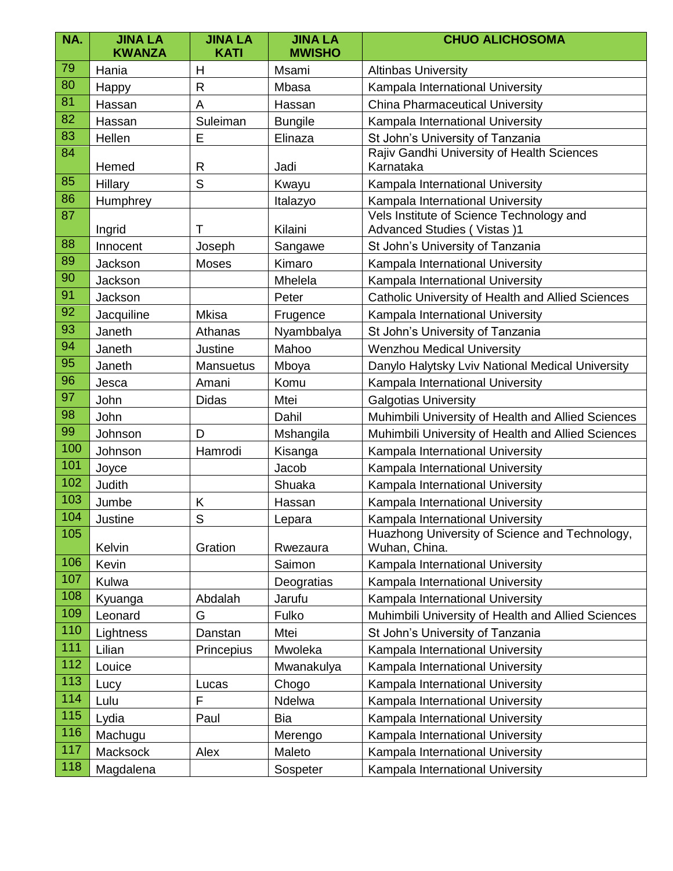| NA. | <b>JINA LA</b><br><b>KWANZA</b> | <b>JINA LA</b><br><b>KATI</b> | <b>JINA LA</b><br><b>MWISHO</b> | <b>CHUO ALICHOSOMA</b>                                                        |  |
|-----|---------------------------------|-------------------------------|---------------------------------|-------------------------------------------------------------------------------|--|
| 79  | Hania                           | H                             | Msami                           | <b>Altinbas University</b>                                                    |  |
| 80  | Happy                           | $\mathsf{R}$                  | Mbasa                           | Kampala International University                                              |  |
| 81  | Hassan                          | A                             | Hassan                          | <b>China Pharmaceutical University</b>                                        |  |
| 82  | Hassan                          | Suleiman                      | <b>Bungile</b>                  | Kampala International University                                              |  |
| 83  | Hellen                          | E                             | Elinaza                         | St John's University of Tanzania                                              |  |
| 84  | Hemed                           | $\mathsf{R}$                  | Jadi                            | Rajiv Gandhi University of Health Sciences<br>Karnataka                       |  |
| 85  | Hillary                         | S                             | Kwayu                           | Kampala International University                                              |  |
| 86  | Humphrey                        |                               | Italazyo                        | Kampala International University                                              |  |
| 87  | Ingrid                          | Τ                             | Kilaini                         | Vels Institute of Science Technology and<br><b>Advanced Studies (Vistas)1</b> |  |
| 88  | Innocent                        | Joseph                        | Sangawe                         | St John's University of Tanzania                                              |  |
| 89  | Jackson                         | <b>Moses</b>                  | Kimaro                          | Kampala International University                                              |  |
| 90  | Jackson                         |                               | Mhelela                         | Kampala International University                                              |  |
| 91  | Jackson                         |                               | Peter                           | Catholic University of Health and Allied Sciences                             |  |
| 92  | Jacquiline                      | <b>Mkisa</b>                  | Frugence                        | Kampala International University                                              |  |
| 93  | Janeth                          | Athanas                       | Nyambbalya                      | St John's University of Tanzania                                              |  |
| 94  | Janeth                          | Justine                       | Mahoo                           | <b>Wenzhou Medical University</b>                                             |  |
| 95  | Janeth                          | <b>Mansuetus</b>              | Mboya                           | Danylo Halytsky Lviv National Medical University                              |  |
| 96  | Jesca                           | Amani                         | Komu                            | Kampala International University                                              |  |
| 97  | John                            | <b>Didas</b>                  | Mtei                            | <b>Galgotias University</b>                                                   |  |
| 98  | John                            |                               | Dahil                           | Muhimbili University of Health and Allied Sciences                            |  |
| 99  | Johnson                         | D                             | Mshangila                       | Muhimbili University of Health and Allied Sciences                            |  |
| 100 | Johnson                         | Hamrodi                       | Kisanga                         | Kampala International University                                              |  |
| 101 | Joyce                           |                               | Jacob                           | Kampala International University                                              |  |
| 102 | Judith                          |                               | Shuaka                          | Kampala International University                                              |  |
| 103 | Jumbe                           | Κ                             | Hassan                          | Kampala International University                                              |  |
| 104 | Justine                         | S                             | Lepara                          | Kampala International University                                              |  |
| 105 | Kelvin                          | Gration                       | Rwezaura                        | Huazhong University of Science and Technology,<br>Wuhan, China.               |  |
| 106 | Kevin                           |                               | Saimon                          | Kampala International University                                              |  |
| 107 | Kulwa                           |                               | Deogratias                      | Kampala International University                                              |  |
| 108 | Kyuanga                         | Abdalah                       | Jarufu                          | Kampala International University                                              |  |
| 109 | Leonard                         | G                             | Fulko                           | Muhimbili University of Health and Allied Sciences                            |  |
| 110 | Lightness                       | Danstan                       | Mtei                            | St John's University of Tanzania                                              |  |
| 111 | Lilian                          | Princepius                    | Mwoleka                         | Kampala International University                                              |  |
| 112 | Louice                          |                               | Mwanakulya                      | Kampala International University                                              |  |
| 113 | Lucy                            | Lucas                         | Chogo                           | Kampala International University                                              |  |
| 114 | Lulu                            | F                             | Ndelwa                          | Kampala International University                                              |  |
| 115 | Lydia                           | Paul                          | Bia                             | Kampala International University                                              |  |
| 116 | Machugu                         |                               | Merengo                         | Kampala International University                                              |  |
| 117 | Macksock                        | Alex                          | Maleto                          | Kampala International University                                              |  |
| 118 | Magdalena                       |                               | Sospeter                        | Kampala International University                                              |  |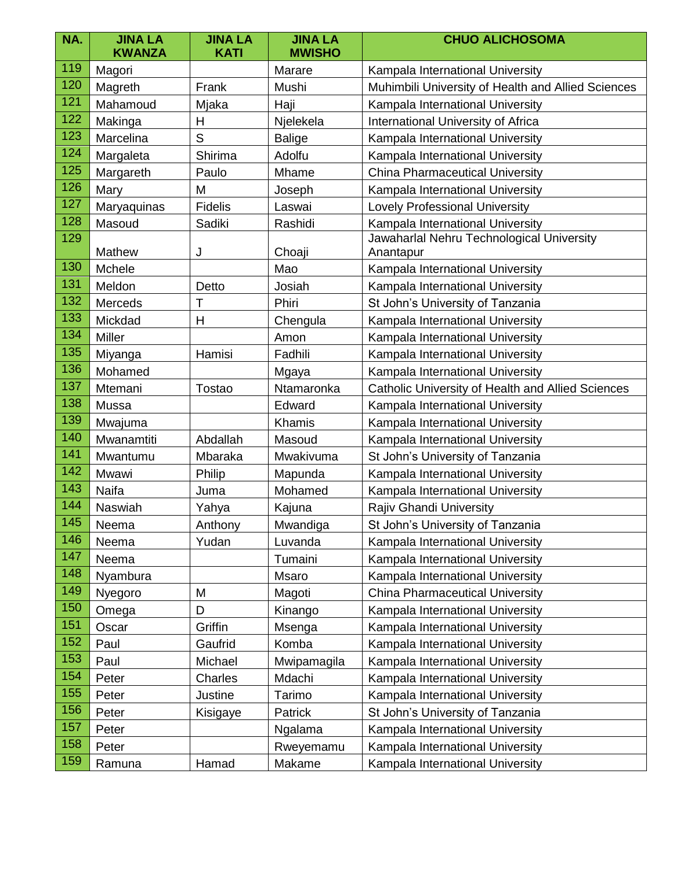| NA. | <b>JINA LA</b><br><b>KWANZA</b> | <b>JINA LA</b><br><b>KATI</b> | <b>JINA LA</b><br><b>MWISHO</b> | <b>CHUO ALICHOSOMA</b>                                 |  |
|-----|---------------------------------|-------------------------------|---------------------------------|--------------------------------------------------------|--|
| 119 | Magori                          |                               | Marare                          | Kampala International University                       |  |
| 120 | Magreth                         | Frank                         | Mushi                           | Muhimbili University of Health and Allied Sciences     |  |
| 121 | Mahamoud                        | Mjaka                         | Haji                            | Kampala International University                       |  |
| 122 | Makinga                         | Н                             | Njelekela                       | International University of Africa                     |  |
| 123 | Marcelina                       | S                             | <b>Balige</b>                   | Kampala International University                       |  |
| 124 | Margaleta                       | Shirima                       | Adolfu                          | Kampala International University                       |  |
| 125 | Margareth                       | Paulo                         | Mhame                           | <b>China Pharmaceutical University</b>                 |  |
| 126 | Mary                            | M                             | Joseph                          | Kampala International University                       |  |
| 127 | Maryaquinas                     | <b>Fidelis</b>                | Laswai                          | <b>Lovely Professional University</b>                  |  |
| 128 | Masoud                          | Sadiki                        | Rashidi                         | Kampala International University                       |  |
| 129 | Mathew                          | J                             | Choaji                          | Jawaharlal Nehru Technological University<br>Anantapur |  |
| 130 | Mchele                          |                               | Mao                             | Kampala International University                       |  |
| 131 | Meldon                          | Josiah<br>Detto               |                                 | Kampala International University                       |  |
| 132 | Merceds                         | Т                             | Phiri                           | St John's University of Tanzania                       |  |
| 133 | Mickdad                         | H                             | Chengula                        | Kampala International University                       |  |
| 134 | Miller                          |                               | Amon                            | Kampala International University                       |  |
| 135 | Miyanga                         | Hamisi                        | Fadhili                         | Kampala International University                       |  |
| 136 | Mohamed                         |                               | Mgaya                           | Kampala International University                       |  |
| 137 | Mtemani                         | Tostao                        | Ntamaronka                      | Catholic University of Health and Allied Sciences      |  |
| 138 | Mussa                           |                               | Edward                          | Kampala International University                       |  |
| 139 | Mwajuma                         |                               | Khamis                          | Kampala International University                       |  |
| 140 | Mwanamtiti                      | Abdallah                      | Masoud                          | Kampala International University                       |  |
| 141 | Mwantumu                        | Mbaraka                       | Mwakivuma                       | St John's University of Tanzania                       |  |
| 142 | Mwawi                           | Philip                        | Mapunda                         | Kampala International University                       |  |
| 143 | Naifa                           | Juma                          | Mohamed                         | Kampala International University                       |  |
| 144 | Naswiah                         | Yahya                         | Kajuna                          | Rajiv Ghandi University                                |  |
| 145 | Neema                           | Anthony                       | Mwandiga                        | St John's University of Tanzania                       |  |
| 146 | Neema                           | Yudan                         | Luvanda                         | Kampala International University                       |  |
| 147 | Neema                           |                               | Tumaini                         | Kampala International University                       |  |
| 148 | Nyambura                        |                               | Msaro                           | Kampala International University                       |  |
| 149 | Nyegoro                         | M                             | Magoti                          | <b>China Pharmaceutical University</b>                 |  |
| 150 | Omega                           | D                             | Kinango                         | Kampala International University                       |  |
| 151 | Oscar                           | Griffin                       | Msenga                          | Kampala International University                       |  |
| 152 | Paul                            | Gaufrid                       | Komba                           | Kampala International University                       |  |
| 153 | Paul                            | Michael                       | Mwipamagila                     | Kampala International University                       |  |
| 154 | Peter                           | Charles                       | Mdachi                          | Kampala International University                       |  |
| 155 | Peter                           | Justine                       | Tarimo                          | Kampala International University                       |  |
| 156 | Peter                           | Kisigaye                      | Patrick                         | St John's University of Tanzania                       |  |
| 157 | Peter                           |                               | Ngalama                         | Kampala International University                       |  |
| 158 | Peter                           |                               | Rweyemamu                       | Kampala International University                       |  |
| 159 | Ramuna                          | Hamad                         | Makame                          | Kampala International University                       |  |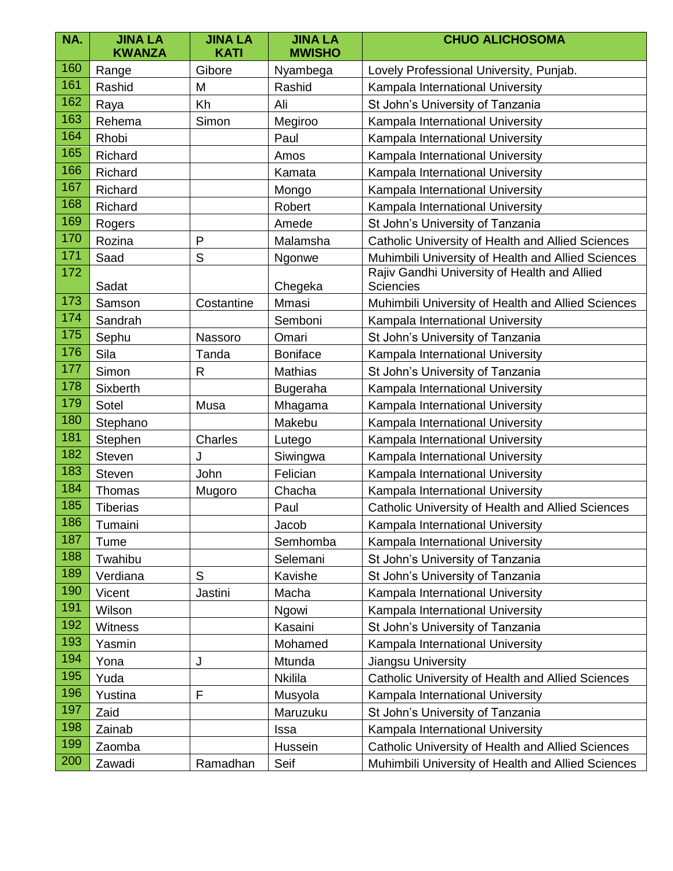| NA. | <b>JINA LA</b><br><b>KWANZA</b> | <b>JINA LA</b><br><b>KATI</b> | <b>JINA LA</b><br><b>MWISHO</b> | <b>CHUO ALICHOSOMA</b>                                           |  |
|-----|---------------------------------|-------------------------------|---------------------------------|------------------------------------------------------------------|--|
| 160 | Range                           | Gibore                        | Nyambega                        | Lovely Professional University, Punjab.                          |  |
| 161 | Rashid                          | M                             | Rashid                          | Kampala International University                                 |  |
| 162 | Raya                            | Kh                            | Ali                             | St John's University of Tanzania                                 |  |
| 163 | Rehema                          | Simon                         | Megiroo                         | Kampala International University                                 |  |
| 164 | Rhobi                           |                               | Paul                            | Kampala International University                                 |  |
| 165 | Richard                         |                               | Amos                            | Kampala International University                                 |  |
| 166 | Richard                         |                               | Kamata                          | Kampala International University                                 |  |
| 167 | Richard                         |                               | Mongo                           | Kampala International University                                 |  |
| 168 | Richard                         |                               | Robert                          | Kampala International University                                 |  |
| 169 | Rogers                          |                               | Amede                           | St John's University of Tanzania                                 |  |
| 170 | Rozina                          | $\mathsf{P}$                  | Malamsha                        | Catholic University of Health and Allied Sciences                |  |
| 171 | Saad                            | $\mathsf{S}$                  | Ngonwe                          | Muhimbili University of Health and Allied Sciences               |  |
| 172 | Sadat                           |                               | Chegeka                         | Rajiv Gandhi University of Health and Allied<br><b>Sciencies</b> |  |
| 173 | Samson                          | Costantine                    | Mmasi                           | Muhimbili University of Health and Allied Sciences               |  |
| 174 | Sandrah                         |                               | Semboni                         | Kampala International University                                 |  |
| 175 | Sephu                           | Nassoro                       | Omari                           | St John's University of Tanzania                                 |  |
| 176 | Sila                            | Tanda                         | <b>Boniface</b>                 | Kampala International University                                 |  |
| 177 | Simon                           | R                             | <b>Mathias</b>                  | St John's University of Tanzania                                 |  |
| 178 | <b>Sixberth</b>                 |                               | <b>Bugeraha</b>                 | Kampala International University                                 |  |
| 179 | Sotel                           | Musa                          | Mhagama                         | Kampala International University                                 |  |
| 180 | Stephano                        |                               | Makebu                          | Kampala International University                                 |  |
| 181 | Stephen                         | Charles                       | Lutego                          | Kampala International University                                 |  |
| 182 | Steven                          | J                             | Siwingwa                        | Kampala International University                                 |  |
| 183 | <b>Steven</b>                   | John                          | Felician                        | Kampala International University                                 |  |
| 184 | Thomas                          | Mugoro                        | Chacha                          | Kampala International University                                 |  |
| 185 | <b>Tiberias</b>                 |                               | Paul                            | Catholic University of Health and Allied Sciences                |  |
| 186 | Tumaini                         |                               | Jacob                           | Kampala International University                                 |  |
| 187 | Tume                            |                               | Semhomba                        | Kampala International University                                 |  |
| 188 | Twahibu                         |                               | Selemani                        | St John's University of Tanzania                                 |  |
| 189 | Verdiana                        | S                             | Kavishe                         | St John's University of Tanzania                                 |  |
| 190 | Vicent                          | Jastini                       | Macha                           | Kampala International University                                 |  |
| 191 | Wilson                          |                               | Ngowi                           | Kampala International University                                 |  |
| 192 | Witness                         |                               | Kasaini                         | St John's University of Tanzania                                 |  |
| 193 | Yasmin                          |                               | Mohamed                         | Kampala International University                                 |  |
| 194 | Yona                            | J                             | Mtunda                          | Jiangsu University                                               |  |
| 195 | Yuda                            |                               | <b>Nkilila</b>                  | Catholic University of Health and Allied Sciences                |  |
| 196 | Yustina                         | F                             | Musyola                         | Kampala International University                                 |  |
| 197 | Zaid                            |                               | Maruzuku                        | St John's University of Tanzania                                 |  |
| 198 | Zainab                          |                               | Issa                            | Kampala International University                                 |  |
| 199 | Zaomba                          |                               | Hussein                         | Catholic University of Health and Allied Sciences                |  |
| 200 | Zawadi                          | Ramadhan                      | Seif                            | Muhimbili University of Health and Allied Sciences               |  |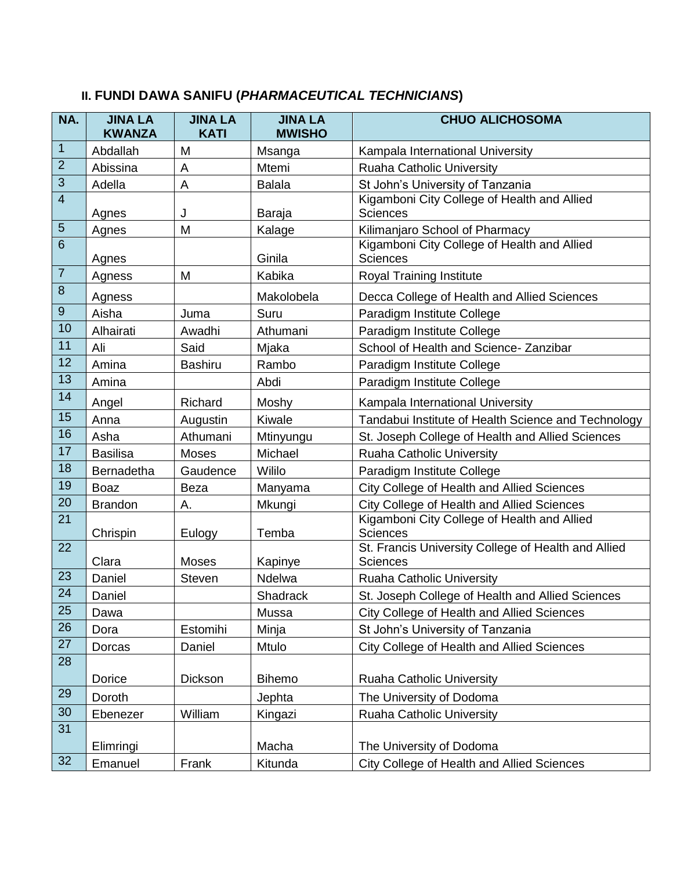| NA.              | <b>JINA LA</b><br><b>KWANZA</b> | <b>JINA LA</b><br><b>KATI</b> | <b>JINA LA</b><br><b>MWISHO</b> | <b>CHUO ALICHOSOMA</b>                                                 |  |
|------------------|---------------------------------|-------------------------------|---------------------------------|------------------------------------------------------------------------|--|
| $\mathbf{1}$     | Abdallah                        | M                             | Msanga                          | Kampala International University                                       |  |
| $\mathbf{2}$     | Abissina                        | A                             | Mtemi                           | <b>Ruaha Catholic University</b>                                       |  |
| $\overline{3}$   | Adella                          | A                             | <b>Balala</b>                   | St John's University of Tanzania                                       |  |
| $\overline{4}$   | Agnes                           | J                             | Baraja                          | Kigamboni City College of Health and Allied<br><b>Sciences</b>         |  |
| $\sqrt{5}$       | Agnes                           | M                             | Kalage                          | Kilimanjaro School of Pharmacy                                         |  |
| $\overline{6}$   | Agnes                           |                               | Ginila                          | Kigamboni City College of Health and Allied<br><b>Sciences</b>         |  |
| $\overline{7}$   | Agness                          | M                             | Kabika                          | Royal Training Institute                                               |  |
| $\bf 8$          | Agness                          |                               | Makolobela                      | Decca College of Health and Allied Sciences                            |  |
| $\boldsymbol{9}$ | Aisha                           | Juma                          | Suru                            | Paradigm Institute College                                             |  |
| 10               | Alhairati                       | Awadhi                        | Athumani                        | Paradigm Institute College                                             |  |
| 11               | Ali                             | Said                          | Mjaka                           | School of Health and Science- Zanzibar                                 |  |
| 12               | Amina                           | <b>Bashiru</b>                | Rambo                           | Paradigm Institute College                                             |  |
| 13               | Amina                           |                               | Abdi                            | Paradigm Institute College                                             |  |
| 14               | Angel                           | Richard                       | Moshy                           | Kampala International University                                       |  |
| 15               | Anna                            | Augustin                      | Kiwale                          | Tandabui Institute of Health Science and Technology                    |  |
| 16               | Asha                            | Athumani                      | Mtinyungu                       | St. Joseph College of Health and Allied Sciences                       |  |
| 17               | <b>Basilisa</b>                 | <b>Moses</b>                  | Michael                         | <b>Ruaha Catholic University</b>                                       |  |
| 18               | Bernadetha                      | Gaudence                      | Wililo                          | Paradigm Institute College                                             |  |
| 19               | <b>Boaz</b>                     | <b>Beza</b>                   | Manyama                         | City College of Health and Allied Sciences                             |  |
| 20               | <b>Brandon</b>                  | А.                            | Mkungi                          | City College of Health and Allied Sciences                             |  |
| 21               | Chrispin                        | Eulogy                        | Temba                           | Kigamboni City College of Health and Allied<br><b>Sciences</b>         |  |
| 22               | Clara                           | Moses                         | Kapinye                         | St. Francis University College of Health and Allied<br><b>Sciences</b> |  |
| 23               | Daniel                          | <b>Steven</b>                 | Ndelwa                          | Ruaha Catholic University                                              |  |
| 24               | Daniel                          |                               | Shadrack                        | St. Joseph College of Health and Allied Sciences                       |  |
| 25               | Dawa                            |                               | Mussa                           | City College of Health and Allied Sciences                             |  |
| 26               | Dora                            | Estomihi                      | Minja                           | St John's University of Tanzania                                       |  |
| 27               | Dorcas                          | Daniel                        | Mtulo                           | City College of Health and Allied Sciences                             |  |
| 28               |                                 |                               |                                 |                                                                        |  |
|                  | Dorice                          | Dickson                       | <b>Bihemo</b>                   | Ruaha Catholic University                                              |  |
| 29               | Doroth                          |                               | Jephta                          | The University of Dodoma                                               |  |
| 30               | Ebenezer                        | William                       | Kingazi                         | Ruaha Catholic University                                              |  |
| 31               |                                 |                               |                                 |                                                                        |  |
|                  | Elimringi                       |                               | Macha                           | The University of Dodoma                                               |  |
| 32               | Emanuel                         | Frank                         | Kitunda                         | City College of Health and Allied Sciences                             |  |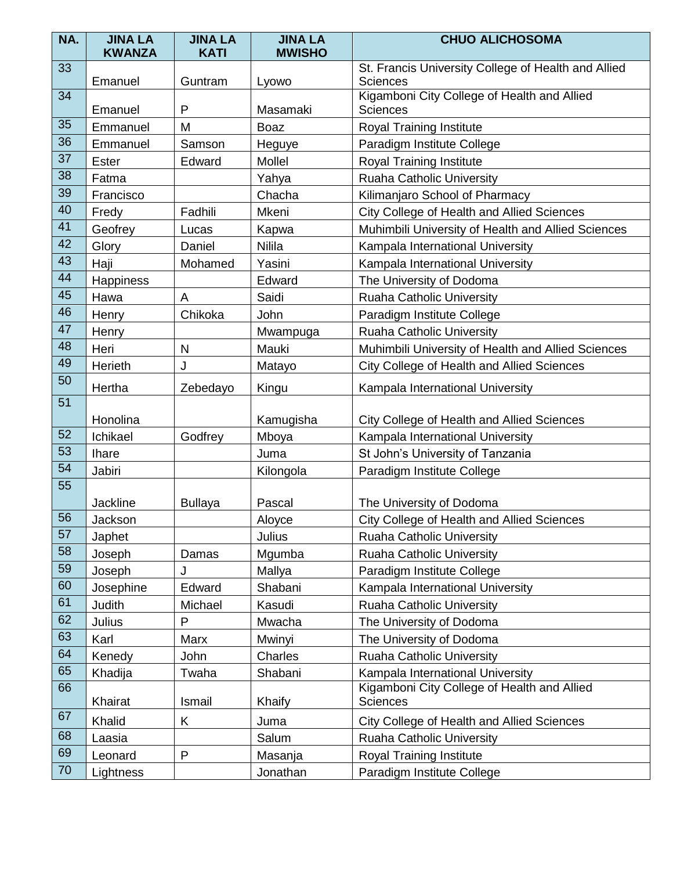| NA. | <b>JINA LA</b><br><b>KWANZA</b> | <b>JINA LA</b><br><b>KATI</b> | <b>JINA LA</b><br><b>MWISHO</b> | <b>CHUO ALICHOSOMA</b>                                                 |  |
|-----|---------------------------------|-------------------------------|---------------------------------|------------------------------------------------------------------------|--|
| 33  | Emanuel                         | Guntram                       | Lyowo                           | St. Francis University College of Health and Allied<br><b>Sciences</b> |  |
| 34  | Emanuel                         | P                             | Masamaki                        | Kigamboni City College of Health and Allied<br><b>Sciences</b>         |  |
| 35  | Emmanuel                        | M                             | <b>Boaz</b>                     | Royal Training Institute                                               |  |
| 36  | Emmanuel                        | Samson                        | Heguye                          | Paradigm Institute College                                             |  |
| 37  | Ester                           | Edward                        | Mollel                          | <b>Royal Training Institute</b>                                        |  |
| 38  | Fatma                           |                               | Yahya                           | <b>Ruaha Catholic University</b>                                       |  |
| 39  | Francisco                       |                               | Chacha                          | Kilimanjaro School of Pharmacy                                         |  |
| 40  | Fredy                           | Fadhili                       | Mkeni                           | City College of Health and Allied Sciences                             |  |
| 41  | Geofrey                         | Lucas                         | Kapwa                           | Muhimbili University of Health and Allied Sciences                     |  |
| 42  | Glory                           | Daniel                        | Nilila                          | Kampala International University                                       |  |
| 43  | Haji                            | Mohamed                       | Yasini                          | Kampala International University                                       |  |
| 44  | Happiness                       |                               | Edward                          | The University of Dodoma                                               |  |
| 45  | Hawa                            | A                             | Saidi                           | <b>Ruaha Catholic University</b>                                       |  |
| 46  | Henry                           | Chikoka                       | John                            | Paradigm Institute College                                             |  |
| 47  | Henry                           |                               | Mwampuga                        | <b>Ruaha Catholic University</b>                                       |  |
| 48  | Heri                            | ${\sf N}$                     | Mauki                           | Muhimbili University of Health and Allied Sciences                     |  |
| 49  | Herieth                         | J                             | Matayo                          | City College of Health and Allied Sciences                             |  |
| 50  | Hertha                          | Zebedayo                      | Kingu                           | Kampala International University                                       |  |
| 51  | Honolina                        |                               | Kamugisha                       | City College of Health and Allied Sciences                             |  |
| 52  | Ichikael                        | Godfrey                       | Mboya                           | Kampala International University                                       |  |
| 53  | <b>Ihare</b>                    |                               | Juma                            | St John's University of Tanzania                                       |  |
| 54  | Jabiri                          |                               | Kilongola                       | Paradigm Institute College                                             |  |
| 55  | <b>Jackline</b>                 | <b>Bullaya</b>                | Pascal                          | The University of Dodoma                                               |  |
| 56  | Jackson                         |                               | Aloyce                          | City College of Health and Allied Sciences                             |  |
| 57  | Japhet                          |                               | Julius                          | Ruaha Catholic University                                              |  |
| 58  | Joseph                          | Damas                         | Mgumba                          | Ruaha Catholic University                                              |  |
| 59  | Joseph                          | J                             | Mallya                          | Paradigm Institute College                                             |  |
| 60  | Josephine                       | Edward                        | Shabani                         | Kampala International University                                       |  |
| 61  | Judith                          | Michael                       | Kasudi                          | <b>Ruaha Catholic University</b>                                       |  |
| 62  | Julius                          | P                             | Mwacha                          | The University of Dodoma                                               |  |
| 63  | Karl                            | Marx                          | Mwinyi                          | The University of Dodoma                                               |  |
| 64  | Kenedy                          | John                          | Charles                         | <b>Ruaha Catholic University</b>                                       |  |
| 65  | Khadija                         | Twaha                         | Shabani                         | Kampala International University                                       |  |
| 66  | Khairat                         | Ismail                        | Khaify                          | Kigamboni City College of Health and Allied<br><b>Sciences</b>         |  |
| 67  | Khalid                          | Κ                             | Juma                            | City College of Health and Allied Sciences                             |  |
| 68  | Laasia                          |                               | Salum                           | <b>Ruaha Catholic University</b>                                       |  |
| 69  | Leonard                         | $\mathsf{P}$                  | Masanja                         | Royal Training Institute                                               |  |
| 70  | Lightness                       |                               | Jonathan                        | Paradigm Institute College                                             |  |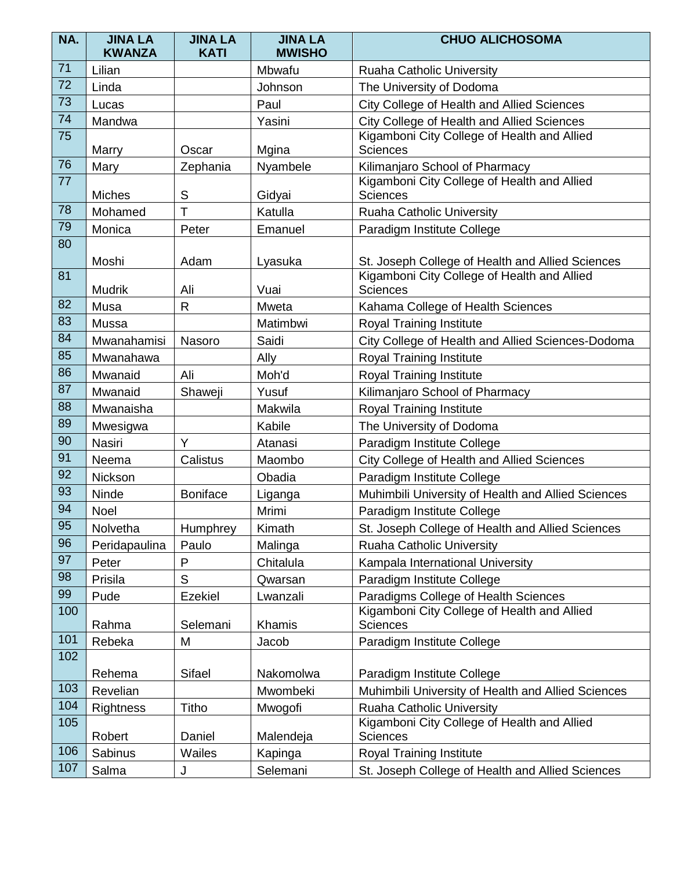| NA.             | <b>JINA LA</b><br><b>KWANZA</b> | <b>JINA LA</b><br><b>KATI</b> | <b>JINA LA</b><br><b>MWISHO</b> | <b>CHUO ALICHOSOMA</b>                                         |
|-----------------|---------------------------------|-------------------------------|---------------------------------|----------------------------------------------------------------|
| 71              | Lilian                          |                               | Mbwafu                          | <b>Ruaha Catholic University</b>                               |
| 72              | Linda                           |                               | Johnson                         | The University of Dodoma                                       |
| 73              | Lucas                           |                               | Paul                            | City College of Health and Allied Sciences                     |
| 74              | Mandwa                          |                               | Yasini                          | City College of Health and Allied Sciences                     |
| 75              | Marry                           | Oscar                         | Mgina                           | Kigamboni City College of Health and Allied<br><b>Sciences</b> |
| 76              | Mary                            | Zephania                      | Nyambele                        | Kilimanjaro School of Pharmacy                                 |
| 77              | <b>Miches</b>                   | S                             | Gidyai                          | Kigamboni City College of Health and Allied<br><b>Sciences</b> |
| 78              | Mohamed                         | T                             | Katulla                         | Ruaha Catholic University                                      |
| 79              | Monica                          | Peter                         | Emanuel                         | Paradigm Institute College                                     |
| 80              | Moshi                           | Adam                          | Lyasuka                         | St. Joseph College of Health and Allied Sciences               |
| 81              | <b>Mudrik</b>                   | Ali                           | Vuai                            | Kigamboni City College of Health and Allied<br><b>Sciences</b> |
| 82              | Musa                            | $\mathsf{R}$                  | Mweta                           | Kahama College of Health Sciences                              |
| 83              | Mussa                           |                               | Matimbwi                        | <b>Royal Training Institute</b>                                |
| 84              | Mwanahamisi                     | Nasoro                        | Saidi                           | City College of Health and Allied Sciences-Dodoma              |
| 85              | Mwanahawa                       |                               | Ally                            | Royal Training Institute                                       |
| 86              | Mwanaid                         | Ali                           | Moh'd                           | <b>Royal Training Institute</b>                                |
| 87              | Mwanaid                         | Shaweji                       | Yusuf                           | Kilimanjaro School of Pharmacy                                 |
| 88              | Mwanaisha                       |                               | Makwila                         | Royal Training Institute                                       |
| 89              | Mwesigwa                        |                               | Kabile                          | The University of Dodoma                                       |
| 90              | <b>Nasiri</b>                   | Y                             | Atanasi                         | Paradigm Institute College                                     |
| 91              | Neema                           | Calistus                      | Maombo                          | City College of Health and Allied Sciences                     |
| 92              | Nickson                         |                               | Obadia                          | Paradigm Institute College                                     |
| 93              | Ninde                           | <b>Boniface</b>               | Liganga                         | Muhimbili University of Health and Allied Sciences             |
| 94              | Noel                            |                               | Mrimi                           | Paradigm Institute College                                     |
| $\overline{95}$ | Nolvetha                        | Humphrey                      | Kimath                          | St. Joseph College of Health and Allied Sciences               |
| 96              | Peridapaulina                   | Paulo                         | Malinga                         | <b>Ruaha Catholic University</b>                               |
| 97              | Peter                           | P                             | Chitalula                       | Kampala International University                               |
| 98              | Prisila                         | $\mathsf{S}$                  | Qwarsan                         | Paradigm Institute College                                     |
| 99              | Pude                            | <b>Ezekiel</b>                | Lwanzali                        | Paradigms College of Health Sciences                           |
| 100             | Rahma                           | Selemani                      | Khamis                          | Kigamboni City College of Health and Allied<br><b>Sciences</b> |
| 101             | Rebeka                          | M                             | Jacob                           | Paradigm Institute College                                     |
| 102             |                                 |                               |                                 |                                                                |
|                 | Rehema                          | Sifael                        | Nakomolwa                       | Paradigm Institute College                                     |
| 103             | Revelian                        |                               | Mwombeki                        | Muhimbili University of Health and Allied Sciences             |
| 104             | Rightness                       | <b>Titho</b>                  | Mwogofi                         | Ruaha Catholic University                                      |
| 105             | Robert                          | Daniel                        | Malendeja                       | Kigamboni City College of Health and Allied<br><b>Sciences</b> |
| 106             | Sabinus                         | Wailes                        | Kapinga                         | <b>Royal Training Institute</b>                                |
| 107             | Salma                           | J                             | Selemani                        | St. Joseph College of Health and Allied Sciences               |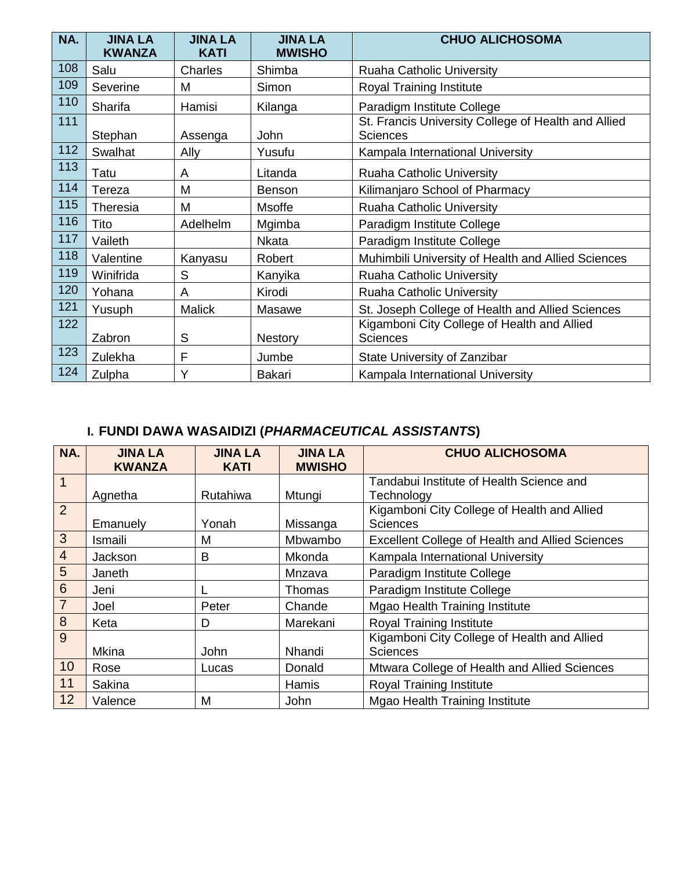| NA. | <b>JINA LA</b><br><b>KWANZA</b> | <b>JINA LA</b><br><b>KATI</b> | <b>JINA LA</b><br><b>MWISHO</b> | <b>CHUO ALICHOSOMA</b>                                                 |
|-----|---------------------------------|-------------------------------|---------------------------------|------------------------------------------------------------------------|
| 108 | Salu                            | Charles                       | Shimba                          | Ruaha Catholic University                                              |
| 109 | Severine                        | M                             | Simon                           | Royal Training Institute                                               |
| 110 | Sharifa                         | Hamisi                        | Kilanga                         | Paradigm Institute College                                             |
| 111 | Stephan                         | Assenga                       | John                            | St. Francis University College of Health and Allied<br><b>Sciences</b> |
| 112 | Swalhat                         | Ally                          | Yusufu                          | Kampala International University                                       |
| 113 | Tatu                            | A                             | Litanda                         | Ruaha Catholic University                                              |
| 114 | Tereza                          | M                             | <b>Benson</b>                   | Kilimanjaro School of Pharmacy                                         |
| 115 | Theresia                        | M                             | Msoffe                          | <b>Ruaha Catholic University</b>                                       |
| 116 | Tito                            | Adelhelm                      | Mgimba                          | Paradigm Institute College                                             |
| 117 | Vaileth                         |                               | <b>Nkata</b>                    | Paradigm Institute College                                             |
| 118 | Valentine                       | Kanyasu                       | Robert                          | Muhimbili University of Health and Allied Sciences                     |
| 119 | Winifrida                       | S                             | Kanyika                         | Ruaha Catholic University                                              |
| 120 | Yohana                          | A                             | Kirodi                          | Ruaha Catholic University                                              |
| 121 | Yusuph                          | <b>Malick</b>                 | Masawe                          | St. Joseph College of Health and Allied Sciences                       |
| 122 | Zabron                          | S                             | <b>Nestory</b>                  | Kigamboni City College of Health and Allied<br><b>Sciences</b>         |
| 123 | Zulekha                         | F                             | Jumbe                           | State University of Zanzibar                                           |
| 124 | Zulpha                          | Y                             | Bakari                          | Kampala International University                                       |

# **I. FUNDI DAWA WASAIDIZI (***PHARMACEUTICAL ASSISTANTS***)**

| NA.            | <b>JINA LA</b><br><b>KWANZA</b> | <b>JINA LA</b><br><b>KATI</b> | <b>JINA LA</b><br><b>MWISHO</b> | <b>CHUO ALICHOSOMA</b>                                         |
|----------------|---------------------------------|-------------------------------|---------------------------------|----------------------------------------------------------------|
| $\overline{1}$ |                                 |                               |                                 | Tandabui Institute of Health Science and                       |
|                | Agnetha                         | <b>Rutahiwa</b>               | Mtungi                          | Technology                                                     |
| $\overline{2}$ | Emanuely                        | Yonah                         | Missanga                        | Kigamboni City College of Health and Allied<br><b>Sciences</b> |
| 3              | Ismaili                         | M                             | Mbwambo                         | <b>Excellent College of Health and Allied Sciences</b>         |
| $\overline{4}$ | Jackson                         | B                             | Mkonda                          | Kampala International University                               |
| 5              | Janeth                          |                               | Mnzava                          | Paradigm Institute College                                     |
| $6\,$          | Jeni                            |                               | Thomas                          | Paradigm Institute College                                     |
| $\overline{7}$ | Joel                            | Peter                         | Chande                          | <b>Mgao Health Training Institute</b>                          |
| 8              | Keta                            | D                             | Marekani                        | <b>Royal Training Institute</b>                                |
| 9              |                                 |                               |                                 | Kigamboni City College of Health and Allied                    |
|                | <b>Mkina</b>                    | John                          | Nhandi                          | <b>Sciences</b>                                                |
| 10             | Rose                            | Lucas                         | Donald                          | Mtwara College of Health and Allied Sciences                   |
| 11             | <b>Sakina</b>                   |                               | Hamis                           | <b>Royal Training Institute</b>                                |
| 12             | Valence                         | M                             | John                            | <b>Mgao Health Training Institute</b>                          |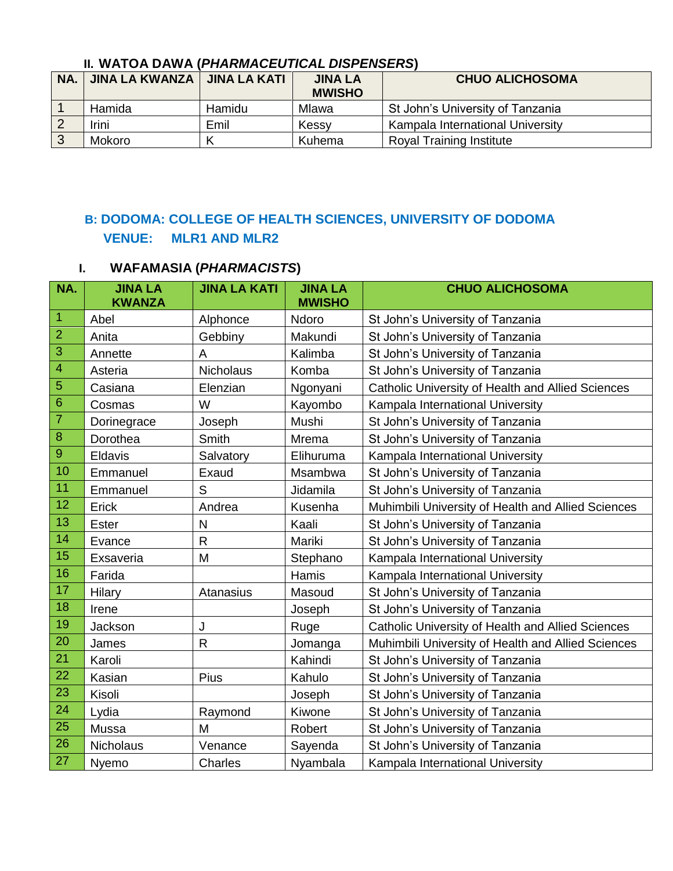## **II. WATOA DAWA (***PHARMACEUTICAL DISPENSERS***)**

| <b>NA</b> | JINA LA KWANZA   JINA LA KATI |        | <b>JINA LA</b><br><b>MWISHO</b> | <b>CHUO ALICHOSOMA</b>           |
|-----------|-------------------------------|--------|---------------------------------|----------------------------------|
|           | Hamida                        | Hamidu | Mlawa                           | St John's University of Tanzania |
|           | Irini                         | Emil   | Kessy                           | Kampala International University |
|           | Mokoro                        |        | Kuhema                          | <b>Royal Training Institute</b>  |

## **B: DODOMA: COLLEGE OF HEALTH SCIENCES, UNIVERSITY OF DODOMA VENUE: MLR1 AND MLR2**

### **I. WAFAMASIA (***PHARMACISTS***)**

| NA.            | <b>JINA LA</b><br><b>KWANZA</b> | <b>JINA LA KATI</b> | <b>JINA LA</b><br><b>MWISHO</b> | <b>CHUO ALICHOSOMA</b>                             |
|----------------|---------------------------------|---------------------|---------------------------------|----------------------------------------------------|
| $\overline{1}$ | Abel                            | Alphonce            | Ndoro                           | St John's University of Tanzania                   |
| $\overline{2}$ | Anita                           | Gebbiny             | Makundi                         | St John's University of Tanzania                   |
| 3              | Annette                         | A                   | Kalimba                         | St John's University of Tanzania                   |
| $\overline{4}$ | Asteria                         | <b>Nicholaus</b>    | Komba                           | St John's University of Tanzania                   |
| $\overline{5}$ | Casiana                         | Elenzian            | Ngonyani                        | Catholic University of Health and Allied Sciences  |
| $\overline{6}$ | Cosmas                          | W                   | Kayombo                         | Kampala International University                   |
| $\overline{7}$ | Dorinegrace                     | Joseph              | Mushi                           | St John's University of Tanzania                   |
| $\bf8$         | Dorothea                        | Smith               | Mrema                           | St John's University of Tanzania                   |
| $\overline{9}$ | Eldavis                         | Salvatory           | Elihuruma                       | Kampala International University                   |
| 10             | Emmanuel                        | Exaud               | Msambwa                         | St John's University of Tanzania                   |
| 11             | Emmanuel                        | S                   | Jidamila                        | St John's University of Tanzania                   |
| 12             | Erick                           | Andrea              | Kusenha                         | Muhimbili University of Health and Allied Sciences |
| 13             | <b>Ester</b>                    | $\mathsf{N}$        | Kaali                           | St John's University of Tanzania                   |
| 14             | Evance                          | ${\sf R}$           | Mariki                          | St John's University of Tanzania                   |
| 15             | Exsaveria                       | M                   | Stephano                        | Kampala International University                   |
| 16             | Farida                          |                     | Hamis                           | Kampala International University                   |
| 17             | Hilary                          | Atanasius           | Masoud                          | St John's University of Tanzania                   |
| 18             | Irene                           |                     | Joseph                          | St John's University of Tanzania                   |
| 19             | Jackson                         | J                   | Ruge                            | Catholic University of Health and Allied Sciences  |
| 20             | James                           | $\mathsf{R}$        | Jomanga                         | Muhimbili University of Health and Allied Sciences |
| 21             | Karoli                          |                     | Kahindi                         | St John's University of Tanzania                   |
| 22             | Kasian                          | Pius                | Kahulo                          | St John's University of Tanzania                   |
| 23             | Kisoli                          |                     | Joseph                          | St John's University of Tanzania                   |
| 24             | Lydia                           | Raymond             | Kiwone                          | St John's University of Tanzania                   |
| 25             | Mussa                           | M                   | Robert                          | St John's University of Tanzania                   |
| 26             | Nicholaus                       | Venance             | Sayenda                         | St John's University of Tanzania                   |
| 27             | Nyemo                           | Charles             | Nyambala                        | Kampala International University                   |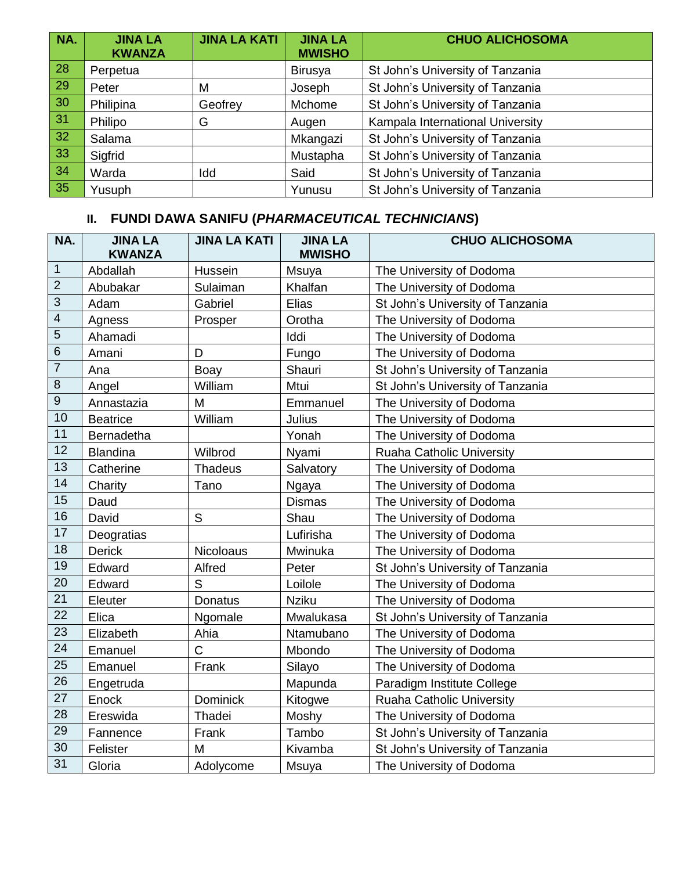| NA.             | <b>JINA LA</b><br><b>KWANZA</b> | <b>JINA LA KATI</b> | <b>JINA LA</b><br><b>MWISHO</b> | <b>CHUO ALICHOSOMA</b>           |
|-----------------|---------------------------------|---------------------|---------------------------------|----------------------------------|
| $\overline{28}$ | Perpetua                        |                     | Birusya                         | St John's University of Tanzania |
| $\overline{29}$ | Peter                           | M                   | Joseph                          | St John's University of Tanzania |
| 30              | Philipina                       | Geofrey             | Mchome                          | St John's University of Tanzania |
| 31              | Philipo                         | G                   | Augen                           | Kampala International University |
| $\overline{32}$ | Salama                          |                     | Mkangazi                        | St John's University of Tanzania |
| $\overline{33}$ | Sigfrid                         |                     | Mustapha                        | St John's University of Tanzania |
| 34              | Warda                           | Idd                 | Said                            | St John's University of Tanzania |
| 35              | Yusuph                          |                     | Yunusu                          | St John's University of Tanzania |

| NA.              | <b>JINA LA</b><br><b>KWANZA</b> | <b>JINA LA KATI</b> | <b>JINA LA</b><br><b>MWISHO</b> | <b>CHUO ALICHOSOMA</b>           |
|------------------|---------------------------------|---------------------|---------------------------------|----------------------------------|
| $\overline{1}$   | Abdallah                        | Hussein             | Msuya                           | The University of Dodoma         |
| $\overline{2}$   | Abubakar                        | Sulaiman            | Khalfan                         | The University of Dodoma         |
| $\mathfrak{S}$   | Adam                            | Gabriel             | Elias                           | St John's University of Tanzania |
| $\overline{4}$   | Agness                          | Prosper             | Orotha                          | The University of Dodoma         |
| $\overline{5}$   | Ahamadi                         |                     | Iddi                            | The University of Dodoma         |
| $\,6\,$          | Amani                           | D                   | Fungo                           | The University of Dodoma         |
| $\boldsymbol{7}$ | Ana                             | Boay                | Shauri                          | St John's University of Tanzania |
| $\, 8$           | Angel                           | William             | Mtui                            | St John's University of Tanzania |
| $\overline{9}$   | Annastazia                      | M                   | Emmanuel                        | The University of Dodoma         |
| 10               | <b>Beatrice</b>                 | William             | Julius                          | The University of Dodoma         |
| 11               | <b>Bernadetha</b>               |                     | Yonah                           | The University of Dodoma         |
| 12               | <b>Blandina</b>                 | Wilbrod             | Nyami                           | <b>Ruaha Catholic University</b> |
| 13               | Catherine                       | <b>Thadeus</b>      | Salvatory                       | The University of Dodoma         |
| 14               | Charity                         | Tano                | Ngaya                           | The University of Dodoma         |
| 15               | Daud                            |                     | <b>Dismas</b>                   | The University of Dodoma         |
| 16               | David                           | $\mathsf{S}$        | Shau                            | The University of Dodoma         |
| 17               | Deogratias                      |                     | Lufirisha                       | The University of Dodoma         |
| 18               | <b>Derick</b>                   | <b>Nicoloaus</b>    | Mwinuka                         | The University of Dodoma         |
| 19               | Edward                          | Alfred              | Peter                           | St John's University of Tanzania |
| 20               | Edward                          | S                   | Loilole                         | The University of Dodoma         |
| 21               | Eleuter                         | <b>Donatus</b>      | <b>Nziku</b>                    | The University of Dodoma         |
| 22               | Elica                           | Ngomale             | Mwalukasa                       | St John's University of Tanzania |
| 23               | Elizabeth                       | Ahia                | Ntamubano                       | The University of Dodoma         |
| 24               | Emanuel                         | C                   | Mbondo                          | The University of Dodoma         |
| 25               | Emanuel                         | Frank               | Silayo                          | The University of Dodoma         |
| 26               | Engetruda                       |                     | Mapunda                         | Paradigm Institute College       |
| 27               | Enock                           | <b>Dominick</b>     | Kitogwe                         | Ruaha Catholic University        |
| 28               | Ereswida                        | Thadei              | Moshy                           | The University of Dodoma         |
| 29               | Fannence                        | Frank               | Tambo                           | St John's University of Tanzania |
| 30               | Felister                        | M                   | Kivamba                         | St John's University of Tanzania |
| 31               | Gloria                          | Adolycome           | Msuya                           | The University of Dodoma         |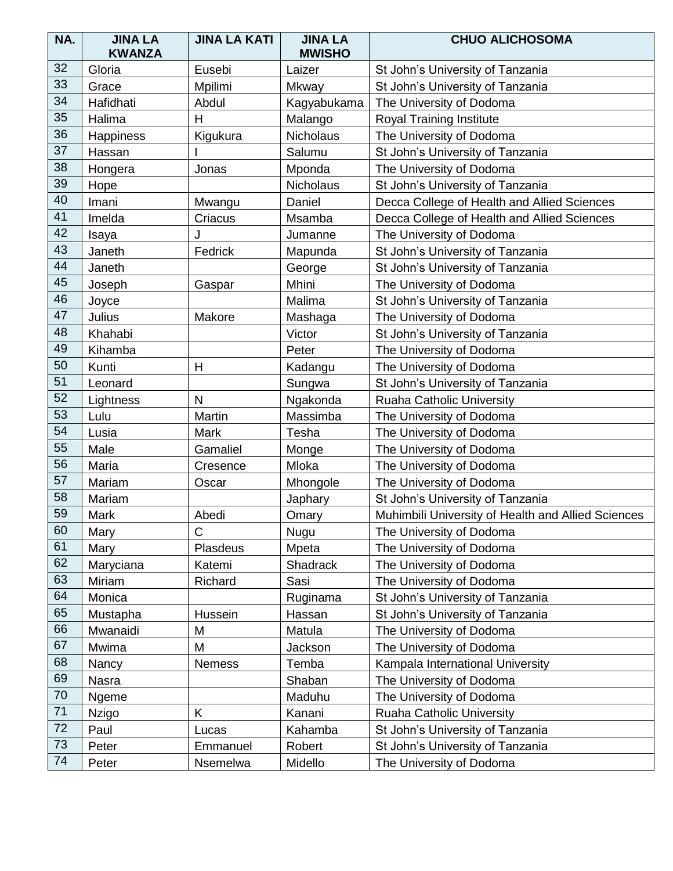| NA. | <b>JINA LA</b><br><b>KWANZA</b> | <b>JINA LA KATI</b> | <b>JINA LA</b><br><b>MWISHO</b> | <b>CHUO ALICHOSOMA</b>                             |
|-----|---------------------------------|---------------------|---------------------------------|----------------------------------------------------|
| 32  | Gloria                          | Eusebi              | Laizer                          | St John's University of Tanzania                   |
| 33  | Grace                           | Mpilimi             | Mkway                           | St John's University of Tanzania                   |
| 34  | Hafidhati                       | Abdul               | Kagyabukama                     | The University of Dodoma                           |
| 35  | Halima                          | Н                   | Malango                         | <b>Royal Training Institute</b>                    |
| 36  | Happiness                       | Kigukura            | Nicholaus                       | The University of Dodoma                           |
| 37  | Hassan                          |                     | Salumu                          | St John's University of Tanzania                   |
| 38  | Hongera                         | Jonas               | Mponda                          | The University of Dodoma                           |
| 39  | Hope                            |                     | <b>Nicholaus</b>                | St John's University of Tanzania                   |
| 40  | Imani                           | Mwangu              | Daniel                          | Decca College of Health and Allied Sciences        |
| 41  | Imelda                          | Criacus             | Msamba                          | Decca College of Health and Allied Sciences        |
| 42  | Isaya                           | J                   | Jumanne                         | The University of Dodoma                           |
| 43  | Janeth                          | Fedrick             | Mapunda                         | St John's University of Tanzania                   |
| 44  | Janeth                          |                     | George                          | St John's University of Tanzania                   |
| 45  | Joseph                          | Gaspar              | Mhini                           | The University of Dodoma                           |
| 46  | Joyce                           |                     | Malima                          | St John's University of Tanzania                   |
| 47  | Julius                          | Makore              | Mashaga                         | The University of Dodoma                           |
| 48  | Khahabi                         |                     | Victor                          | St John's University of Tanzania                   |
| 49  | Kihamba                         |                     | Peter                           | The University of Dodoma                           |
| 50  | Kunti                           | $\mathsf{H}$        | Kadangu                         | The University of Dodoma                           |
| 51  | Leonard                         |                     | Sungwa                          | St John's University of Tanzania                   |
| 52  | Lightness                       | $\mathsf{N}$        | Ngakonda                        | <b>Ruaha Catholic University</b>                   |
| 53  | Lulu                            | Martin              | Massimba                        | The University of Dodoma                           |
| 54  | Lusia                           | Mark                | Tesha                           | The University of Dodoma                           |
| 55  | Male                            | Gamaliel            | Monge                           | The University of Dodoma                           |
| 56  | Maria                           | Cresence            | Mloka                           | The University of Dodoma                           |
| 57  | Mariam                          | Oscar               | Mhongole                        | The University of Dodoma                           |
| 58  | Mariam                          |                     | Japhary                         | St John's University of Tanzania                   |
| 59  | Mark                            | Abedi               | Omary                           | Muhimbili University of Health and Allied Sciences |
| 60  | Mary                            | C                   | Nugu                            | The University of Dodoma                           |
| 61  | Mary                            | Plasdeus            | Mpeta                           | The University of Dodoma                           |
| 62  | Maryciana                       | Katemi              | Shadrack                        | The University of Dodoma                           |
| 63  | Miriam                          | Richard             | Sasi                            | The University of Dodoma                           |
| 64  | Monica                          |                     | Ruginama                        | St John's University of Tanzania                   |
| 65  | Mustapha                        | Hussein             | Hassan                          | St John's University of Tanzania                   |
| 66  | Mwanaidi                        | M                   | Matula                          | The University of Dodoma                           |
| 67  | Mwima                           | M                   | Jackson                         | The University of Dodoma                           |
| 68  | Nancy                           | <b>Nemess</b>       | Temba                           | Kampala International University                   |
| 69  | Nasra                           |                     | Shaban                          | The University of Dodoma                           |
| 70  | Ngeme                           |                     | Maduhu                          | The University of Dodoma                           |
| 71  | <b>Nzigo</b>                    | Κ                   | Kanani                          | Ruaha Catholic University                          |
| 72  | Paul                            | Lucas               | Kahamba                         | St John's University of Tanzania                   |
| 73  | Peter                           | Emmanuel            | Robert                          | St John's University of Tanzania                   |
| 74  | Peter                           | Nsemelwa            | Midello                         | The University of Dodoma                           |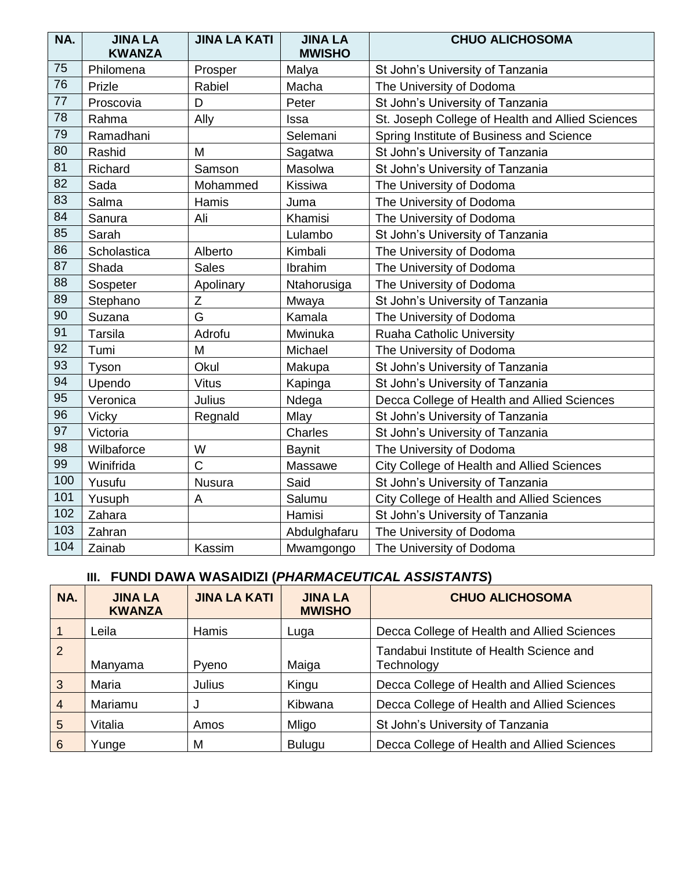| NA. | <b>JINA LA</b><br><b>KWANZA</b> | <b>JINA LA KATI</b> | <b>JINA LA</b><br><b>MWISHO</b> | <b>CHUO ALICHOSOMA</b>                           |
|-----|---------------------------------|---------------------|---------------------------------|--------------------------------------------------|
| 75  | Philomena                       | Prosper             | Malya                           | St John's University of Tanzania                 |
| 76  | Prizle                          | Rabiel              | Macha                           | The University of Dodoma                         |
| 77  | Proscovia                       | D                   | Peter                           | St John's University of Tanzania                 |
| 78  | Rahma                           | Ally                | Issa                            | St. Joseph College of Health and Allied Sciences |
| 79  | Ramadhani                       |                     | Selemani                        | Spring Institute of Business and Science         |
| 80  | Rashid                          | M                   | Sagatwa                         | St John's University of Tanzania                 |
| 81  | Richard                         | Samson              | Masolwa                         | St John's University of Tanzania                 |
| 82  | Sada                            | Mohammed            | Kissiwa                         | The University of Dodoma                         |
| 83  | Salma                           | Hamis               | Juma                            | The University of Dodoma                         |
| 84  | Sanura                          | Ali                 | Khamisi                         | The University of Dodoma                         |
| 85  | Sarah                           |                     | Lulambo                         | St John's University of Tanzania                 |
| 86  | Scholastica                     | Alberto             | Kimbali                         | The University of Dodoma                         |
| 87  | Shada                           | <b>Sales</b>        | Ibrahim                         | The University of Dodoma                         |
| 88  | Sospeter                        | Apolinary           | Ntahorusiga                     | The University of Dodoma                         |
| 89  | Stephano                        | Z                   | Mwaya                           | St John's University of Tanzania                 |
| 90  | Suzana                          | G                   | Kamala                          | The University of Dodoma                         |
| 91  | Tarsila                         | Adrofu              | Mwinuka                         | <b>Ruaha Catholic University</b>                 |
| 92  | Tumi                            | M                   | Michael                         | The University of Dodoma                         |
| 93  | Tyson                           | Okul                | Makupa                          | St John's University of Tanzania                 |
| 94  | Upendo                          | <b>Vitus</b>        | Kapinga                         | St John's University of Tanzania                 |
| 95  | Veronica                        | Julius              | Ndega                           | Decca College of Health and Allied Sciences      |
| 96  | Vicky                           | Regnald             | Mlay                            | St John's University of Tanzania                 |
| 97  | Victoria                        |                     | Charles                         | St John's University of Tanzania                 |
| 98  | Wilbaforce                      | W                   | <b>Baynit</b>                   | The University of Dodoma                         |
| 99  | Winifrida                       | $\overline{C}$      | Massawe                         | City College of Health and Allied Sciences       |
| 100 | Yusufu                          | Nusura              | Said                            | St John's University of Tanzania                 |
| 101 | Yusuph                          | A                   | Salumu                          | City College of Health and Allied Sciences       |
| 102 | Zahara                          |                     | Hamisi                          | St John's University of Tanzania                 |
| 103 | Zahran                          |                     | Abdulghafaru                    | The University of Dodoma                         |
| 104 | Zainab                          | Kassim              | Mwamgongo                       | The University of Dodoma                         |

## **III. FUNDI DAWA WASAIDIZI (***PHARMACEUTICAL ASSISTANTS***)**

| NA.             | <b>JINA LA</b><br><b>KWANZA</b> | <b>JINA LA KATI</b> | <b>JINA LA</b><br><b>MWISHO</b> | <b>CHUO ALICHOSOMA</b>                                 |
|-----------------|---------------------------------|---------------------|---------------------------------|--------------------------------------------------------|
|                 | Leila                           | Hamis               | Luga                            | Decca College of Health and Allied Sciences            |
| $\overline{2}$  | Manyama                         | Pyeno               | Maiga                           | Tandabui Institute of Health Science and<br>Technology |
| 3               | Maria                           | <b>Julius</b>       | Kingu                           | Decca College of Health and Allied Sciences            |
| $\overline{4}$  | Mariamu                         | J                   | Kibwana                         | Decca College of Health and Allied Sciences            |
| 5               | Vitalia                         | Amos                | Mligo                           | St John's University of Tanzania                       |
| $6\phantom{1}6$ | Yunge                           | M                   | <b>Bulugu</b>                   | Decca College of Health and Allied Sciences            |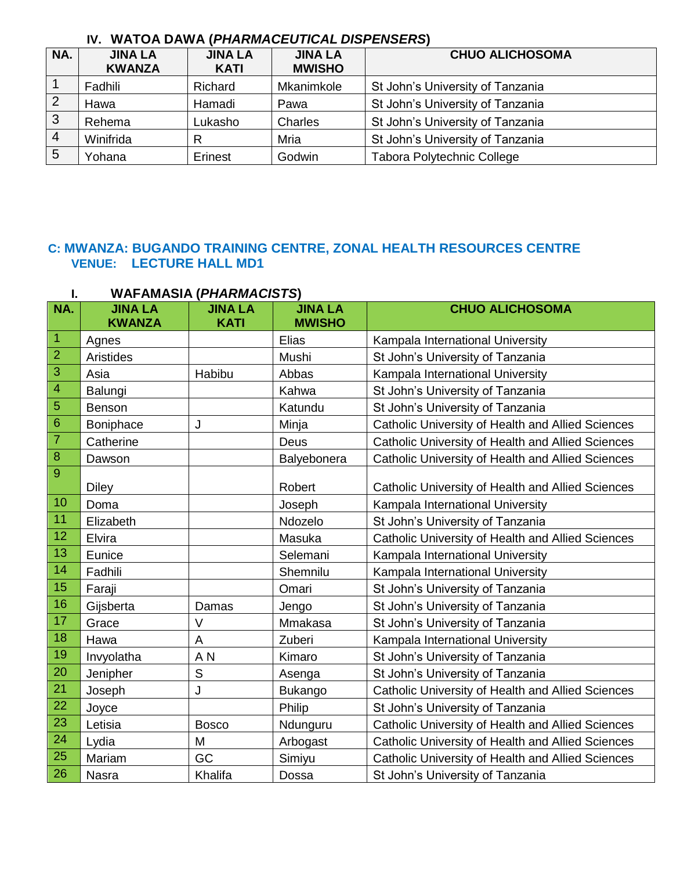## **IV. WATOA DAWA (***PHARMACEUTICAL DISPENSERS***)**

| NA.            | <b>JINA LA</b><br><b>KWANZA</b> | <b>JINA LA</b><br><b>KATI</b> | <b>JINA LA</b><br><b>MWISHO</b> | <b>CHUO ALICHOSOMA</b>            |  |
|----------------|---------------------------------|-------------------------------|---------------------------------|-----------------------------------|--|
|                | Fadhili                         | Richard                       | Mkanimkole                      | St John's University of Tanzania  |  |
| $\overline{2}$ | Hawa                            | Hamadi                        | Pawa                            | St John's University of Tanzania  |  |
| 3              | Rehema                          | Lukasho                       | Charles                         | St John's University of Tanzania  |  |
| $\overline{4}$ | Winifrida                       | R                             | Mria                            | St John's University of Tanzania  |  |
| 5              | Yohana                          | Erinest                       | Godwin                          | <b>Tabora Polytechnic College</b> |  |

## **C: MWANZA: BUGANDO TRAINING CENTRE, ZONAL HEALTH RESOURCES CENTRE VENUE: LECTURE HALL MD1**

|                | WAFAMASIA ( <i>PHARMACISTS</i> ) |                               |                                 |                                                          |  |
|----------------|----------------------------------|-------------------------------|---------------------------------|----------------------------------------------------------|--|
| NA.            | <b>JINA LA</b><br><b>KWANZA</b>  | <b>JINA LA</b><br><b>KATI</b> | <b>JINA LA</b><br><b>MWISHO</b> | <b>CHUO ALICHOSOMA</b>                                   |  |
| $\vert$ 1      | Agnes                            |                               | Elias                           | Kampala International University                         |  |
| $\overline{2}$ | Aristides                        |                               | Mushi                           | St John's University of Tanzania                         |  |
| $\overline{3}$ | Asia                             | Habibu                        | Abbas                           | Kampala International University                         |  |
| $\overline{4}$ | Balungi                          |                               | Kahwa                           | St John's University of Tanzania                         |  |
| $\sqrt{5}$     | Benson                           |                               | Katundu                         | St John's University of Tanzania                         |  |
| $\sqrt{6}$     | Boniphace                        | J                             | Minja                           | Catholic University of Health and Allied Sciences        |  |
| $\overline{7}$ | Catherine                        |                               | Deus                            | <b>Catholic University of Health and Allied Sciences</b> |  |
| $\, 8$         | Dawson                           |                               | Balyebonera                     | Catholic University of Health and Allied Sciences        |  |
| 9              | <b>Diley</b>                     |                               | Robert                          | Catholic University of Health and Allied Sciences        |  |
| 10             | Doma                             |                               | Joseph                          | Kampala International University                         |  |
| 11             | Elizabeth                        |                               | Ndozelo                         | St John's University of Tanzania                         |  |
| 12             | Elvira                           |                               | Masuka                          | Catholic University of Health and Allied Sciences        |  |
| 13             | Eunice                           |                               | Selemani                        | Kampala International University                         |  |
| 14             | Fadhili                          |                               | Shemnilu                        | Kampala International University                         |  |
| 15             | Faraji                           |                               | Omari                           | St John's University of Tanzania                         |  |
| 16             | Gijsberta                        | Damas                         | Jengo                           | St John's University of Tanzania                         |  |
| 17             | Grace                            | V                             | Mmakasa                         | St John's University of Tanzania                         |  |
| 18             | Hawa                             | A                             | Zuberi                          | Kampala International University                         |  |
| 19             | Invyolatha                       | A <sub>N</sub>                | Kimaro                          | St John's University of Tanzania                         |  |
| 20             | Jenipher                         | $\mathsf S$                   | Asenga                          | St John's University of Tanzania                         |  |
| 21             | Joseph                           | J                             | <b>Bukango</b>                  | Catholic University of Health and Allied Sciences        |  |
| 22             | Joyce                            |                               | Philip                          | St John's University of Tanzania                         |  |
| 23             | Letisia                          | <b>Bosco</b>                  | Ndunguru                        | Catholic University of Health and Allied Sciences        |  |
| 24             | Lydia                            | M                             | Arbogast                        | Catholic University of Health and Allied Sciences        |  |
| 25             | Mariam                           | GC                            | Simiyu                          | Catholic University of Health and Allied Sciences        |  |
| 26             | Nasra                            | Khalifa                       | Dossa                           | St John's University of Tanzania                         |  |

# **I. WAFAMASIA (***PHARMACISTS***)**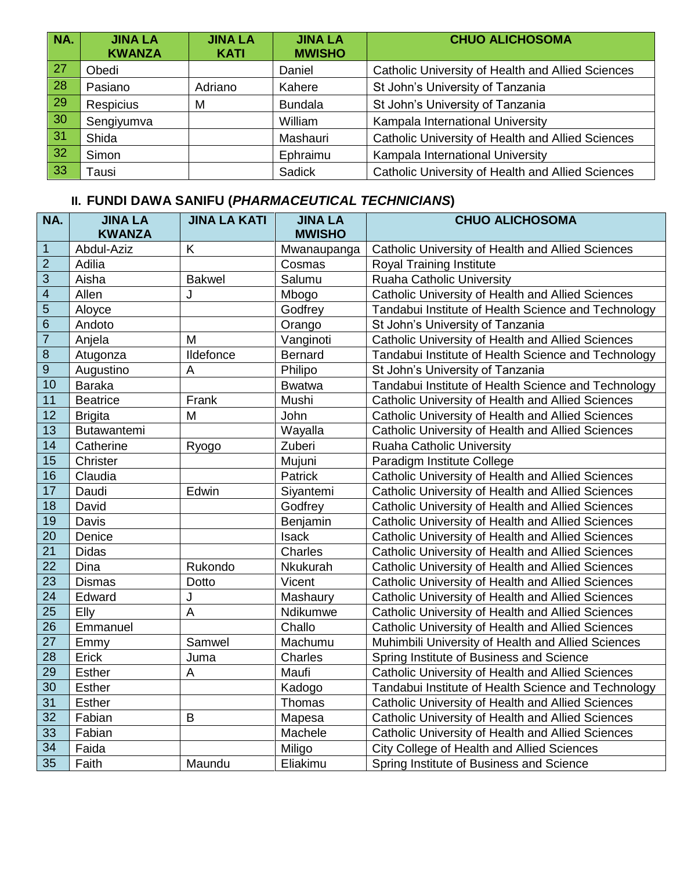| NA.             | <b>JINA LA</b><br><b>KWANZA</b> | <b>JINA LA</b><br><b>KATI</b> | <b>JINA LA</b><br><b>MWISHO</b> | <b>CHUO ALICHOSOMA</b>                                   |
|-----------------|---------------------------------|-------------------------------|---------------------------------|----------------------------------------------------------|
| $\overline{27}$ | Obedi                           |                               | Daniel                          | <b>Catholic University of Health and Allied Sciences</b> |
| 28              | Pasiano                         | Adriano                       | Kahere                          | St John's University of Tanzania                         |
| $\boxed{29}$    | <b>Respicius</b>                | M                             | <b>Bundala</b>                  | St John's University of Tanzania                         |
| 30 <sub>o</sub> | Sengiyumva                      |                               | William                         | Kampala International University                         |
| 31              | <b>Shida</b>                    |                               | Mashauri                        | Catholic University of Health and Allied Sciences        |
| 32              | Simon                           |                               | Ephraimu                        | Kampala International University                         |
| 33              | Tausi                           |                               | Sadick                          | <b>Catholic University of Health and Allied Sciences</b> |

| NA.                     | <b>JINA LA</b><br><b>KWANZA</b> | <b>JINA LA KATI</b> | <b>JINA LA</b><br><b>MWISHO</b> | <b>CHUO ALICHOSOMA</b>                              |
|-------------------------|---------------------------------|---------------------|---------------------------------|-----------------------------------------------------|
| $\overline{1}$          | Abdul-Aziz                      | K                   | Mwanaupanga                     | Catholic University of Health and Allied Sciences   |
| $\overline{2}$          | Adilia                          |                     | Cosmas                          | Royal Training Institute                            |
| 3                       | Aisha                           | <b>Bakwel</b>       | Salumu                          | <b>Ruaha Catholic University</b>                    |
| $\overline{\mathbf{4}}$ | Allen                           | J                   | Mbogo                           | Catholic University of Health and Allied Sciences   |
| 5                       | Aloyce                          |                     | Godfrey                         | Tandabui Institute of Health Science and Technology |
| $6\phantom{1}6$         | Andoto                          |                     | Orango                          | St John's University of Tanzania                    |
| $\overline{7}$          | Anjela                          | M                   | Vanginoti                       | Catholic University of Health and Allied Sciences   |
| $\overline{8}$          | Atugonza                        | Ildefonce           | <b>Bernard</b>                  | Tandabui Institute of Health Science and Technology |
| $\overline{9}$          | Augustino                       | A                   | Philipo                         | St John's University of Tanzania                    |
| 10                      | <b>Baraka</b>                   |                     | <b>Bwatwa</b>                   | Tandabui Institute of Health Science and Technology |
| 11                      | <b>Beatrice</b>                 | Frank               | Mushi                           | Catholic University of Health and Allied Sciences   |
| 12                      | <b>Brigita</b>                  | M                   | John                            | Catholic University of Health and Allied Sciences   |
| 13                      | Butawantemi                     |                     | Wayalla                         | Catholic University of Health and Allied Sciences   |
| 14                      | Catherine                       | Ryogo               | Zuberi                          | Ruaha Catholic University                           |
| 15                      | Christer                        |                     | Mujuni                          | Paradigm Institute College                          |
| 16                      | Claudia                         |                     | Patrick                         | Catholic University of Health and Allied Sciences   |
| 17                      | Daudi                           | Edwin               | Siyantemi                       | Catholic University of Health and Allied Sciences   |
| 18                      | David                           |                     | Godfrey                         | Catholic University of Health and Allied Sciences   |
| 19                      | Davis                           |                     | Benjamin                        | Catholic University of Health and Allied Sciences   |
| 20                      | Denice                          |                     | <b>Isack</b>                    | Catholic University of Health and Allied Sciences   |
| $\overline{21}$         | Didas                           |                     | Charles                         | Catholic University of Health and Allied Sciences   |
| $\overline{22}$         | Dina                            | Rukondo             | Nkukurah                        | Catholic University of Health and Allied Sciences   |
| $\overline{23}$         | <b>Dismas</b>                   | Dotto               | Vicent                          | Catholic University of Health and Allied Sciences   |
| 24                      | Edward                          | J                   | Mashaury                        | Catholic University of Health and Allied Sciences   |
| $\overline{25}$         | Elly                            | A                   | Ndikumwe                        | Catholic University of Health and Allied Sciences   |
| 26                      | Emmanuel                        |                     | Challo                          | Catholic University of Health and Allied Sciences   |
| 27                      | Emmy                            | Samwel              | Machumu                         | Muhimbili University of Health and Allied Sciences  |
| 28                      | Erick                           | Juma                | Charles                         | Spring Institute of Business and Science            |
| 29                      | <b>Esther</b>                   | A                   | Maufi                           | Catholic University of Health and Allied Sciences   |
| $\overline{30}$         | <b>Esther</b>                   |                     | Kadogo                          | Tandabui Institute of Health Science and Technology |
| 31                      | <b>Esther</b>                   |                     | Thomas                          | Catholic University of Health and Allied Sciences   |
| 32                      | Fabian                          | B                   | Mapesa                          | Catholic University of Health and Allied Sciences   |
| 33                      | Fabian                          |                     | Machele                         | Catholic University of Health and Allied Sciences   |
| 34                      | Faida                           |                     | Miligo                          | City College of Health and Allied Sciences          |
| 35                      | Faith                           | Maundu              | Eliakimu                        | Spring Institute of Business and Science            |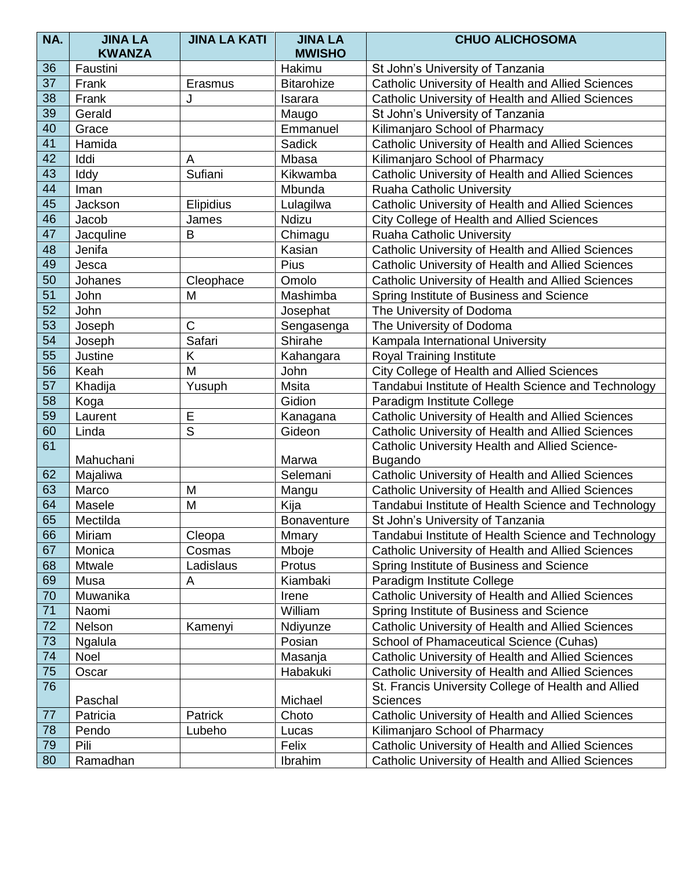| NA. | <b>JINA LA</b> | <b>JINA LA KATI</b> | <b>JINA LA</b>     | <b>CHUO ALICHOSOMA</b>                                                 |
|-----|----------------|---------------------|--------------------|------------------------------------------------------------------------|
|     | <b>KWANZA</b>  |                     | <b>MWISHO</b>      |                                                                        |
| 36  | Faustini       |                     | Hakimu             | St John's University of Tanzania                                       |
| 37  | Frank          | Erasmus             | <b>Bitarohize</b>  | Catholic University of Health and Allied Sciences                      |
| 38  | Frank          | J                   | Isarara            | Catholic University of Health and Allied Sciences                      |
| 39  | Gerald         |                     | Maugo              | St John's University of Tanzania                                       |
| 40  | Grace          |                     | Emmanuel           | Kilimanjaro School of Pharmacy                                         |
| 41  | Hamida         |                     | <b>Sadick</b>      | Catholic University of Health and Allied Sciences                      |
| 42  | Iddi           | A                   | Mbasa              | Kilimanjaro School of Pharmacy                                         |
| 43  | Iddy           | Sufiani             | Kikwamba           | Catholic University of Health and Allied Sciences                      |
| 44  | Iman           |                     | Mbunda             | <b>Ruaha Catholic University</b>                                       |
| 45  | Jackson        | Elipidius           | Lulagilwa          | Catholic University of Health and Allied Sciences                      |
| 46  | Jacob          | James               | Ndizu              | City College of Health and Allied Sciences                             |
| 47  | Jacquline      | B                   | Chimagu            | Ruaha Catholic University                                              |
| 48  | Jenifa         |                     | Kasian             | Catholic University of Health and Allied Sciences                      |
| 49  | Jesca          |                     | <b>Pius</b>        | Catholic University of Health and Allied Sciences                      |
| 50  | Johanes        | Cleophace           | Omolo              | Catholic University of Health and Allied Sciences                      |
| 51  | John           | M                   | Mashimba           | Spring Institute of Business and Science                               |
| 52  | John           |                     | Josephat           | The University of Dodoma                                               |
| 53  | Joseph         | C                   | Sengasenga         | The University of Dodoma                                               |
| 54  | Joseph         | Safari              | Shirahe            | Kampala International University                                       |
| 55  | Justine        | Κ                   | Kahangara          | Royal Training Institute                                               |
| 56  | Keah           | M                   | John               | City College of Health and Allied Sciences                             |
| 57  | Khadija        | Yusuph              | <b>Msita</b>       | Tandabui Institute of Health Science and Technology                    |
| 58  | Koga           |                     | Gidion             | Paradigm Institute College                                             |
| 59  | Laurent        | Е                   | Kanagana           | Catholic University of Health and Allied Sciences                      |
| 60  | Linda          | S                   | Gideon             | Catholic University of Health and Allied Sciences                      |
| 61  |                |                     |                    | Catholic University Health and Allied Science-                         |
|     | Mahuchani      |                     | Marwa              | <b>Bugando</b>                                                         |
| 62  | Majaliwa       |                     | Selemani           | Catholic University of Health and Allied Sciences                      |
| 63  | Marco          | M                   | Mangu              | Catholic University of Health and Allied Sciences                      |
| 64  | Masele         | M                   | Kija               | Tandabui Institute of Health Science and Technology                    |
| 65  | Mectilda       |                     | <b>Bonaventure</b> | St John's University of Tanzania                                       |
| 66  | Miriam         | Cleopa              | Mmary              | Tandabui Institute of Health Science and Technology                    |
| 67  | Monica         | Cosmas              | Mboje              | Catholic University of Health and Allied Sciences                      |
| 68  | Mtwale         | Ladislaus           | Protus             | Spring Institute of Business and Science                               |
| 69  | Musa           | A                   | Kiambaki           | Paradigm Institute College                                             |
| 70  | Muwanika       |                     | Irene              | Catholic University of Health and Allied Sciences                      |
| 71  | Naomi          |                     | William            | Spring Institute of Business and Science                               |
| 72  | Nelson         | Kamenyi             | Ndiyunze           | Catholic University of Health and Allied Sciences                      |
| 73  | Ngalula        |                     | Posian             | School of Phamaceutical Science (Cuhas)                                |
| 74  | Noel           |                     | Masanja            | Catholic University of Health and Allied Sciences                      |
| 75  | Oscar          |                     | Habakuki           | Catholic University of Health and Allied Sciences                      |
| 76  | Paschal        |                     | Michael            | St. Francis University College of Health and Allied<br><b>Sciences</b> |
| 77  | Patricia       | Patrick             | Choto              | Catholic University of Health and Allied Sciences                      |
| 78  | Pendo          | Lubeho              | Lucas              | Kilimanjaro School of Pharmacy                                         |
| 79  | Pili           |                     | Felix              | Catholic University of Health and Allied Sciences                      |
| 80  | Ramadhan       |                     | Ibrahim            | Catholic University of Health and Allied Sciences                      |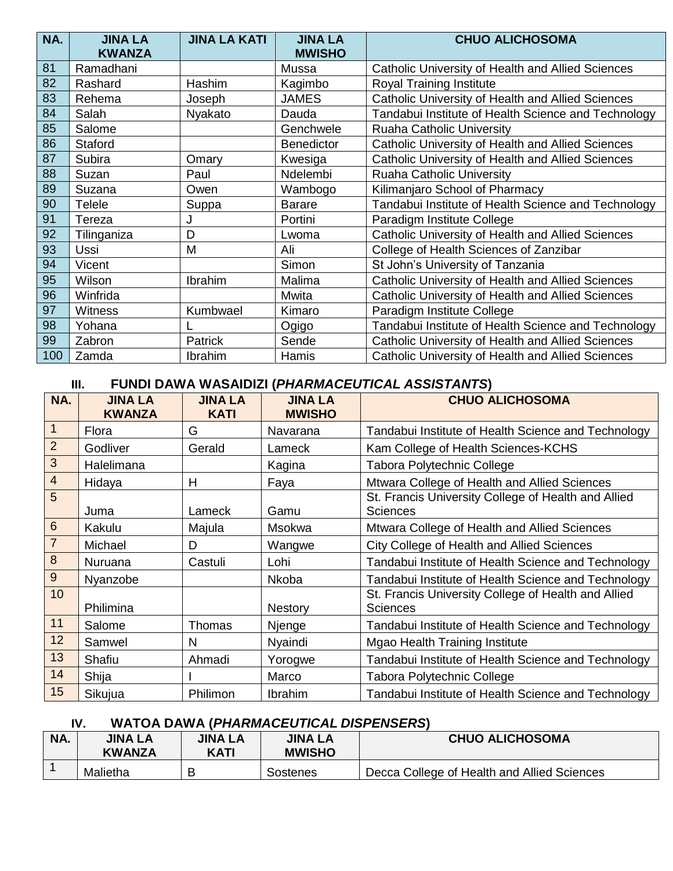| NA. | <b>JINA LA</b> | <b>JINA LA KATI</b> | <b>JINA LA</b>    | <b>CHUO ALICHOSOMA</b>                              |
|-----|----------------|---------------------|-------------------|-----------------------------------------------------|
|     | <b>KWANZA</b>  |                     | <b>MWISHO</b>     |                                                     |
| 81  | Ramadhani      |                     | Mussa             | Catholic University of Health and Allied Sciences   |
| 82  | Rashard        | Hashim              | Kagimbo           | Royal Training Institute                            |
| 83  | Rehema         | Joseph              | <b>JAMES</b>      | Catholic University of Health and Allied Sciences   |
| 84  | Salah          | Nyakato             | Dauda             | Tandabui Institute of Health Science and Technology |
| 85  | Salome         |                     | Genchwele         | Ruaha Catholic University                           |
| 86  | <b>Staford</b> |                     | <b>Benedictor</b> | Catholic University of Health and Allied Sciences   |
| 87  | Subira         | Omary               | Kwesiga           | Catholic University of Health and Allied Sciences   |
| 88  | Suzan          | Paul                | Ndelembi          | Ruaha Catholic University                           |
| 89  | Suzana         | Owen                | Wambogo           | Kilimanjaro School of Pharmacy                      |
| 90  | Telele         | Suppa               | <b>Barare</b>     | Tandabui Institute of Health Science and Technology |
| 91  | Tereza         | J                   | Portini           | Paradigm Institute College                          |
| 92  | Tilinganiza    | D                   | Lwoma             | Catholic University of Health and Allied Sciences   |
| 93  | <b>Ussi</b>    | M                   | Ali               | College of Health Sciences of Zanzibar              |
| 94  | Vicent         |                     | Simon             | St John's University of Tanzania                    |
| 95  | Wilson         | Ibrahim             | Malima            | Catholic University of Health and Allied Sciences   |
| 96  | Winfrida       |                     | Mwita             | Catholic University of Health and Allied Sciences   |
| 97  | <b>Witness</b> | Kumbwael            | Kimaro            | Paradigm Institute College                          |
| 98  | Yohana         |                     | Ogigo             | Tandabui Institute of Health Science and Technology |
| 99  | Zabron         | Patrick             | Sende             | Catholic University of Health and Allied Sciences   |
| 100 | Zamda          | Ibrahim             | Hamis             | Catholic University of Health and Allied Sciences   |

#### **III. FUNDI DAWA WASAIDIZI (***PHARMACEUTICAL ASSISTANTS***)**

| NA.              | <b>JINA LA</b><br><b>KWANZA</b> | <b>JINA LA</b><br><b>KATI</b> | <b>JINA LA</b><br><b>MWISHO</b> | <b>CHUO ALICHOSOMA</b>                                                 |
|------------------|---------------------------------|-------------------------------|---------------------------------|------------------------------------------------------------------------|
| $\mathbf{1}$     | Flora                           | G                             | Navarana                        | Tandabui Institute of Health Science and Technology                    |
| $\overline{2}$   | Godliver                        | Gerald                        | Lameck                          | Kam College of Health Sciences-KCHS                                    |
| 3                | Halelimana                      |                               | Kagina                          | Tabora Polytechnic College                                             |
| $\overline{4}$   | Hidaya                          | H                             | Faya                            | Mtwara College of Health and Allied Sciences                           |
| 5                | Juma                            | Lameck                        | Gamu                            | St. Francis University College of Health and Allied<br><b>Sciences</b> |
| $6\phantom{1}6$  | Kakulu                          | Majula                        | Msokwa                          | Mtwara College of Health and Allied Sciences                           |
| $\overline{7}$   | Michael                         | D                             | Wangwe                          | City College of Health and Allied Sciences                             |
| $\boldsymbol{8}$ | Nuruana                         | Castuli                       | Lohi                            | Tandabui Institute of Health Science and Technology                    |
| $9\,$            | Nyanzobe                        |                               | <b>Nkoba</b>                    | Tandabui Institute of Health Science and Technology                    |
| 10               | Philimina                       |                               | <b>Nestory</b>                  | St. Francis University College of Health and Allied<br><b>Sciences</b> |
| 11               | Salome                          | Thomas                        | Njenge                          | Tandabui Institute of Health Science and Technology                    |
| 12               | Samwel                          | N                             | Nyaindi                         | <b>Mgao Health Training Institute</b>                                  |
| 13               | Shafiu                          | Ahmadi                        | Yorogwe                         | Tandabui Institute of Health Science and Technology                    |
| 14               | Shija                           |                               | Marco                           | <b>Tabora Polytechnic College</b>                                      |
| 15               | Sikujua                         | Philimon                      | Ibrahim                         | Tandabui Institute of Health Science and Technology                    |

### **IV. WATOA DAWA (***PHARMACEUTICAL DISPENSERS***)**

| NA. | <b>JINA LA</b><br><b>KWANZA</b> | JINA LA<br>KATI | <b>JINA LA</b><br><b>MWISHO</b> | <b>CHUO ALICHOSOMA</b>                      |
|-----|---------------------------------|-----------------|---------------------------------|---------------------------------------------|
|     | Malietha                        |                 | Sostenes                        | Decca College of Health and Allied Sciences |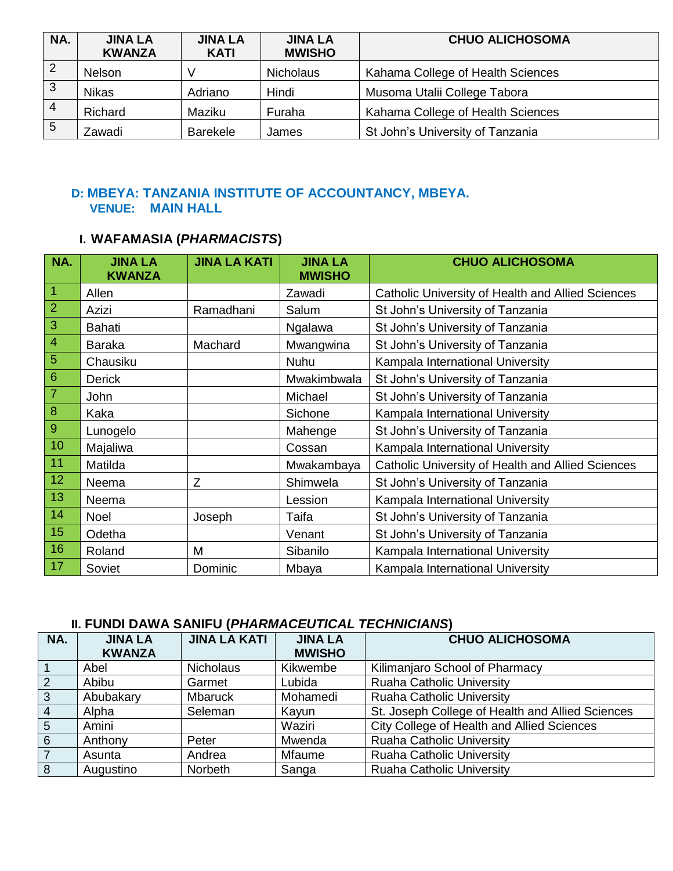| NA.            | <b>JINA LA</b><br><b>KWANZA</b> | <b>JINA LA</b><br><b>KATI</b> | <b>JINA LA</b><br><b>MWISHO</b> | <b>CHUO ALICHOSOMA</b>            |
|----------------|---------------------------------|-------------------------------|---------------------------------|-----------------------------------|
| $\overline{2}$ | <b>Nelson</b>                   |                               | <b>Nicholaus</b>                | Kahama College of Health Sciences |
| 3              | <b>Nikas</b>                    | Adriano                       | Hindi                           | Musoma Utalii College Tabora      |
| $\overline{4}$ | Richard                         | Maziku                        | Furaha                          | Kahama College of Health Sciences |
| 5              | Zawadi                          | <b>Barekele</b>               | James                           | St John's University of Tanzania  |

### **D: MBEYA: TANZANIA INSTITUTE OF ACCOUNTANCY, MBEYA.** **VENUE: MAIN HALL**

## **I. WAFAMASIA (***PHARMACISTS***)**

| NA.            | <b>JINA LA</b><br><b>KWANZA</b> | <b>JINA LA KATI</b> | <b>JINA LA</b><br><b>MWISHO</b> | <b>CHUO ALICHOSOMA</b>                            |
|----------------|---------------------------------|---------------------|---------------------------------|---------------------------------------------------|
| $\overline{1}$ | Allen                           |                     | Zawadi                          | Catholic University of Health and Allied Sciences |
| $\overline{2}$ | Azizi                           | Ramadhani           | Salum                           | St John's University of Tanzania                  |
| $\overline{3}$ | Bahati                          |                     | Ngalawa                         | St John's University of Tanzania                  |
| $\overline{4}$ | <b>Baraka</b>                   | Machard             | Mwangwina                       | St John's University of Tanzania                  |
| $\overline{5}$ | Chausiku                        |                     | Nuhu                            | Kampala International University                  |
| $\,$ 6 $\,$    | <b>Derick</b>                   |                     | Mwakimbwala                     | St John's University of Tanzania                  |
| $\overline{7}$ | John                            |                     | Michael                         | St John's University of Tanzania                  |
| $\overline{8}$ | Kaka                            |                     | Sichone                         | Kampala International University                  |
| $\overline{9}$ | Lunogelo                        |                     | Mahenge                         | St John's University of Tanzania                  |
| 10             | Majaliwa                        |                     | Cossan                          | Kampala International University                  |
| 11             | Matilda                         |                     | Mwakambaya                      | Catholic University of Health and Allied Sciences |
| 12             | Neema                           | Z                   | Shimwela                        | St John's University of Tanzania                  |
| 13             | Neema                           |                     | Lession                         | Kampala International University                  |
| 14             | <b>Noel</b>                     | Joseph              | Taifa                           | St John's University of Tanzania                  |
| 15             | Odetha                          |                     | Venant                          | St John's University of Tanzania                  |
| 16             | Roland                          | M                   | Sibanilo                        | Kampala International University                  |
| 17             | Soviet                          | Dominic             | Mbaya                           | Kampala International University                  |

| NA.            | <b>JINA LA</b><br><b>KWANZA</b> | <b>JINA LA KATI</b> | <b>JINA LA</b><br><b>MWISHO</b> | <b>CHUO ALICHOSOMA</b>                           |  |  |
|----------------|---------------------------------|---------------------|---------------------------------|--------------------------------------------------|--|--|
|                | Abel                            | <b>Nicholaus</b>    | Kikwembe                        | Kilimanjaro School of Pharmacy                   |  |  |
| 2              | Abibu                           | Garmet              | Lubida                          | <b>Ruaha Catholic University</b>                 |  |  |
| 3              | Abubakary                       | <b>Mbaruck</b>      | Mohamedi                        | <b>Ruaha Catholic University</b>                 |  |  |
| $\overline{4}$ | Alpha                           | Seleman             | Kayun                           | St. Joseph College of Health and Allied Sciences |  |  |
| 5              | Amini                           |                     | Waziri                          | City College of Health and Allied Sciences       |  |  |
| 6              | Anthony                         | Peter               | Mwenda                          | <b>Ruaha Catholic University</b>                 |  |  |
| <sup>7</sup>   | Asunta                          | Andrea              | <b>Mfaume</b>                   | <b>Ruaha Catholic University</b>                 |  |  |
| 8              | Augustino                       | Norbeth             | Sanga                           | <b>Ruaha Catholic University</b>                 |  |  |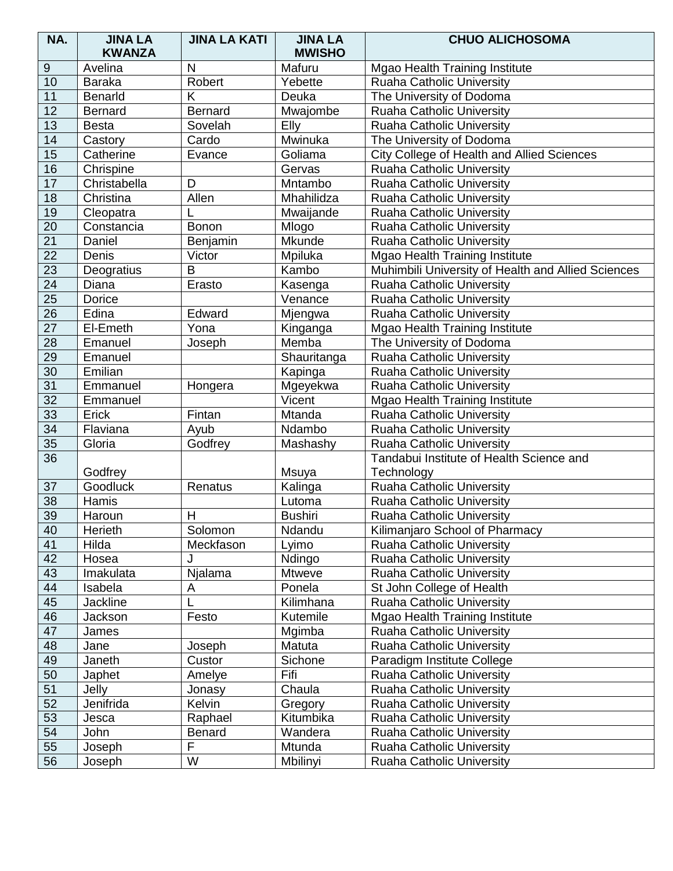| NA.              | <b>JINA LA</b><br><b>KWANZA</b> | <b>JINA LA KATI</b> | <b>JINA LA</b><br><b>MWISHO</b> | <b>CHUO ALICHOSOMA</b>                             |
|------------------|---------------------------------|---------------------|---------------------------------|----------------------------------------------------|
| $\boldsymbol{9}$ | Avelina                         | N                   | Mafuru                          | Mgao Health Training Institute                     |
| 10               | <b>Baraka</b>                   | Robert              | Yebette                         | <b>Ruaha Catholic University</b>                   |
| 11               | <b>Benarld</b>                  | K                   | Deuka                           | The University of Dodoma                           |
| 12               | <b>Bernard</b>                  | <b>Bernard</b>      | Mwajombe                        | <b>Ruaha Catholic University</b>                   |
|                  |                                 | Sovelah             |                                 |                                                    |
| 13               | <b>Besta</b>                    |                     | Elly                            | <b>Ruaha Catholic University</b>                   |
| 14               | Castory                         | Cardo               | Mwinuka                         | The University of Dodoma                           |
| 15               | Catherine                       | Evance              | Goliama                         | City College of Health and Allied Sciences         |
| 16               | Chrispine                       |                     | Gervas                          | <b>Ruaha Catholic University</b>                   |
| 17               | Christabella                    | D                   | Mntambo                         | Ruaha Catholic University                          |
| 18               | Christina                       | Allen               | Mhahilidza                      | <b>Ruaha Catholic University</b>                   |
| 19               | Cleopatra                       |                     | Mwaijande                       | Ruaha Catholic University                          |
| 20               | Constancia                      | <b>Bonon</b>        | Mlogo                           | Ruaha Catholic University                          |
| $\overline{21}$  | Daniel                          | Benjamin            | Mkunde                          | <b>Ruaha Catholic University</b>                   |
| $\overline{22}$  | Denis                           | Victor              | Mpiluka                         | Mgao Health Training Institute                     |
| $\overline{23}$  | Deogratius                      | B                   | Kambo                           | Muhimbili University of Health and Allied Sciences |
| 24               | Diana                           | Erasto              | Kasenga                         | <b>Ruaha Catholic University</b>                   |
| $\overline{25}$  | Dorice                          |                     | Venance                         | <b>Ruaha Catholic University</b>                   |
| 26               | Edina                           | Edward              | Mjengwa                         | <b>Ruaha Catholic University</b>                   |
| $\overline{27}$  | El-Emeth                        | Yona                | Kinganga                        | Mgao Health Training Institute                     |
| 28               | Emanuel                         | Joseph              | Memba                           | The University of Dodoma                           |
| 29               | Emanuel                         |                     | Shauritanga                     | Ruaha Catholic University                          |
| 30               | Emilian                         |                     | Kapinga                         | Ruaha Catholic University                          |
| 31               | Emmanuel                        | Hongera             | Mgeyekwa                        | <b>Ruaha Catholic University</b>                   |
| $\overline{32}$  | Emmanuel                        |                     | Vicent                          | Mgao Health Training Institute                     |
| 33               | Erick                           | Fintan              | Mtanda                          | Ruaha Catholic University                          |
| $\overline{34}$  | Flaviana                        | Ayub                | Ndambo                          | <b>Ruaha Catholic University</b>                   |
| 35               | Gloria                          | Godfrey             | Mashashy                        | <b>Ruaha Catholic University</b>                   |
| $\overline{36}$  |                                 |                     |                                 | Tandabui Institute of Health Science and           |
|                  | Godfrey                         |                     | Msuya                           | Technology                                         |
| 37               | Goodluck                        | Renatus             | Kalinga                         | Ruaha Catholic University                          |
| $\overline{38}$  | Hamis                           |                     | Lutoma                          | <b>Ruaha Catholic University</b>                   |
| 39               | Haroun                          | H                   | <b>Bushiri</b>                  | <b>Ruaha Catholic University</b>                   |
| 40               | Herieth                         | Solomon             | Ndandu                          | Kilimanjaro School of Pharmacy                     |
| 41               | Hilda                           | Meckfason           | Lyimo                           | <b>Ruaha Catholic University</b>                   |
| 42               | Hosea                           |                     | Ndingo                          | <b>Ruaha Catholic University</b>                   |
| 43               | Imakulata                       | Njalama             | <b>Mtweve</b>                   | <b>Ruaha Catholic University</b>                   |
| 44               | Isabela                         | A                   | Ponela                          | St John College of Health                          |
| 45               | Jackline                        |                     | Kilimhana                       | Ruaha Catholic University                          |
| 46               | Jackson                         | Festo               | Kutemile                        | Mgao Health Training Institute                     |
| 47               | James                           |                     | Mgimba                          | Ruaha Catholic University                          |
| 48               | Jane                            | Joseph              | Matuta                          | <b>Ruaha Catholic University</b>                   |
| 49               | Janeth                          | Custor              | Sichone                         | Paradigm Institute College                         |
| 50               | Japhet                          | Amelye              | Fifi                            | <b>Ruaha Catholic University</b>                   |
| 51               | Jelly                           | Jonasy              | Chaula                          | <b>Ruaha Catholic University</b>                   |
| 52               | Jenifrida                       | Kelvin              | Gregory                         | <b>Ruaha Catholic University</b>                   |
| 53               | Jesca                           | Raphael             | Kitumbika                       | <b>Ruaha Catholic University</b>                   |
| 54               | John                            | <b>Benard</b>       | Wandera                         | <b>Ruaha Catholic University</b>                   |
| 55               | Joseph                          | F                   | Mtunda                          | Ruaha Catholic University                          |
| 56               | Joseph                          | W                   | Mbilinyi                        | Ruaha Catholic University                          |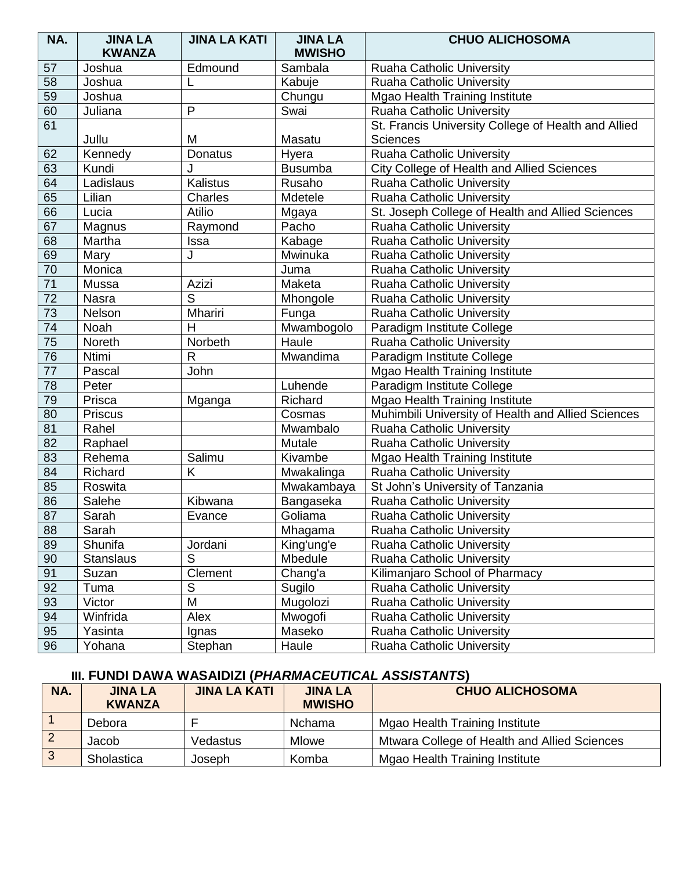| NA.             | <b>JINA LA</b><br><b>KWANZA</b> | <b>JINA LA KATI</b> | <b>JINA LA</b><br><b>MWISHO</b> | <b>CHUO ALICHOSOMA</b>                              |
|-----------------|---------------------------------|---------------------|---------------------------------|-----------------------------------------------------|
| 57              | Joshua                          | Edmound             | Sambala                         | Ruaha Catholic University                           |
| 58              | Joshua                          | L                   | Kabuje                          | Ruaha Catholic University                           |
| $\overline{59}$ | Joshua                          |                     | Chungu                          | Mgao Health Training Institute                      |
| 60              | Juliana                         | $\mathsf{P}$        | Swai                            | Ruaha Catholic University                           |
| 61              |                                 |                     |                                 | St. Francis University College of Health and Allied |
|                 | Jullu                           | M                   | Masatu                          | <b>Sciences</b>                                     |
| 62              | Kennedy                         | Donatus             | Hyera                           | <b>Ruaha Catholic University</b>                    |
| 63              | Kundi                           |                     | <b>Busumba</b>                  | City College of Health and Allied Sciences          |
| 64              | Ladislaus                       | Kalistus            | Rusaho                          | Ruaha Catholic University                           |
| 65              | Lilian                          | Charles             | Mdetele                         | Ruaha Catholic University                           |
| 66              | Lucia                           | Atilio              | Mgaya                           | St. Joseph College of Health and Allied Sciences    |
| 67              | Magnus                          | Raymond             | Pacho                           | Ruaha Catholic University                           |
| 68              | Martha                          | Issa                | Kabage                          | <b>Ruaha Catholic University</b>                    |
| 69              | Mary                            | J                   | Mwinuka                         | Ruaha Catholic University                           |
| 70              | Monica                          |                     | Juma                            | Ruaha Catholic University                           |
| $\overline{71}$ | Mussa                           | Azizi               | Maketa                          | Ruaha Catholic University                           |
| $\overline{72}$ | Nasra                           | $\overline{S}$      | Mhongole                        | Ruaha Catholic University                           |
| $\overline{73}$ | Nelson                          | Mhariri             | Funga                           | <b>Ruaha Catholic University</b>                    |
| $\overline{74}$ | Noah                            | $\overline{H}$      | Mwambogolo                      | Paradigm Institute College                          |
| 75              | Noreth                          | Norbeth             | Haule                           | Ruaha Catholic University                           |
| $\overline{76}$ | Ntimi                           | $\mathsf{R}$        | Mwandima                        | Paradigm Institute College                          |
| $\overline{77}$ | Pascal                          | John                |                                 | Mgao Health Training Institute                      |
| 78              | Peter                           |                     | Luhende                         | Paradigm Institute College                          |
| 79              | Prisca                          | Mganga              | Richard                         | Mgao Health Training Institute                      |
| 80              | Priscus                         |                     | Cosmas                          | Muhimbili University of Health and Allied Sciences  |
| 81              | Rahel                           |                     | Mwambalo                        | Ruaha Catholic University                           |
| 82              | Raphael                         |                     | Mutale                          | Ruaha Catholic University                           |
| 83              | Rehema                          | Salimu              | Kivambe                         | Mgao Health Training Institute                      |
| 84              | Richard                         | K                   | Mwakalinga                      | Ruaha Catholic University                           |
| 85              | Roswita                         |                     | Mwakambaya                      | St John's University of Tanzania                    |
| 86              | Salehe                          | Kibwana             | Bangaseka                       | <b>Ruaha Catholic University</b>                    |
| 87              | Sarah                           | Evance              | Goliama                         | <b>Ruaha Catholic University</b>                    |
| 88              | Sarah                           |                     | Mhagama                         | <b>Ruaha Catholic University</b>                    |
| 89              | Shunifa                         | Jordani             | King'ung'e                      | Ruaha Catholic University                           |
| 90              | <b>Stanslaus</b>                | S                   | Mbedule                         | <b>Ruaha Catholic University</b>                    |
| 91              | Suzan                           | Clement             | Chang'a                         | Kilimanjaro School of Pharmacy                      |
| 92              | Tuma                            | S                   | Sugilo                          | <b>Ruaha Catholic University</b>                    |
| 93              | Victor                          | M                   | Mugolozi                        | <b>Ruaha Catholic University</b>                    |
| 94              | Winfrida                        | Alex                | Mwogofi                         | <b>Ruaha Catholic University</b>                    |
| 95              | Yasinta                         | Ignas               | Maseko                          | <b>Ruaha Catholic University</b>                    |
| 96              | Yohana                          | Stephan             | Haule                           | <b>Ruaha Catholic University</b>                    |

#### **III. FUNDI DAWA WASAIDIZI (***PHARMACEUTICAL ASSISTANTS***)**

| NA. | <b>JINA LA</b><br><b>KWANZA</b> | <b>JINA LA KATI</b> | <b>JINA LA</b><br><b>MWISHO</b> | <b>CHUO ALICHOSOMA</b>                       |
|-----|---------------------------------|---------------------|---------------------------------|----------------------------------------------|
|     | Debora                          |                     | <b>Nchama</b>                   | Mgao Health Training Institute               |
|     | Jacob                           | Vedastus            | Mlowe                           | Mtwara College of Health and Allied Sciences |
| 3   | Sholastica                      | Joseph              | Komba                           | Mgao Health Training Institute               |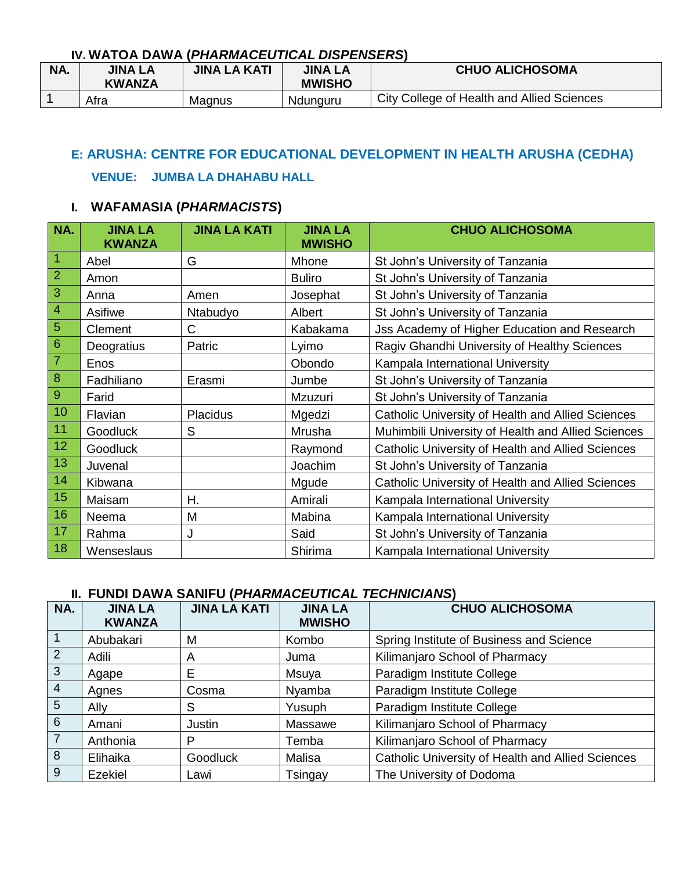#### **IV. WATOA DAWA (***PHARMACEUTICAL DISPENSERS***)**

| NA. | <b>JINA LA</b><br><b>KWANZA</b> | <b>JINA LA KATI</b> | <b>JINA LA</b><br><b>MWISHO</b> | <b>CHUO ALICHOSOMA</b>                     |
|-----|---------------------------------|---------------------|---------------------------------|--------------------------------------------|
|     | Afra                            | Magnus              | Ndunguru                        | City College of Health and Allied Sciences |

## **E: ARUSHA: CENTRE FOR EDUCATIONAL DEVELOPMENT IN HEALTH ARUSHA (CEDHA)**

#### **VENUE:****JUMBA LA DHAHABU HALL**

### **I. WAFAMASIA (***PHARMACISTS***)**

| NA.             | <b>JINA LA</b><br><b>KWANZA</b> | <b>JINA LA KATI</b> | <b>JINA LA</b><br><b>MWISHO</b> | <b>CHUO ALICHOSOMA</b>                             |
|-----------------|---------------------------------|---------------------|---------------------------------|----------------------------------------------------|
| $\vert$ 1       | Abel                            | G                   | Mhone                           | St John's University of Tanzania                   |
| $\overline{2}$  | Amon                            |                     | <b>Buliro</b>                   | St John's University of Tanzania                   |
| $\overline{3}$  | Anna                            | Amen                | Josephat                        | St John's University of Tanzania                   |
| $\overline{4}$  | Asifiwe                         | Ntabudyo            | Albert                          | St John's University of Tanzania                   |
| $\overline{5}$  | Clement                         | C                   | Kabakama                        | Jss Academy of Higher Education and Research       |
| $\overline{6}$  | Deogratius                      | Patric              | Lyimo                           | Ragiv Ghandhi University of Healthy Sciences       |
| $\overline{7}$  | Enos                            |                     | Obondo                          | Kampala International University                   |
| $8\phantom{1}$  | Fadhiliano                      | Erasmi              | Jumbe                           | St John's University of Tanzania                   |
| $\overline{9}$  | Farid                           |                     | Mzuzuri                         | St John's University of Tanzania                   |
| 10              | Flavian                         | <b>Placidus</b>     | Mgedzi                          | Catholic University of Health and Allied Sciences  |
| 11              | <b>Goodluck</b>                 | S                   | Mrusha                          | Muhimbili University of Health and Allied Sciences |
| 12 <sub>2</sub> | Goodluck                        |                     | Raymond                         | Catholic University of Health and Allied Sciences  |
| 13              | Juvenal                         |                     | Joachim                         | St John's University of Tanzania                   |
| 14              | Kibwana                         |                     | Mgude                           | Catholic University of Health and Allied Sciences  |
| 15              | Maisam                          | Η.                  | Amirali                         | Kampala International University                   |
| 16              | Neema                           | M                   | Mabina                          | Kampala International University                   |
| 17              | Rahma                           | J                   | Said                            | St John's University of Tanzania                   |
| 18              | Wenseslaus                      |                     | Shirima                         | Kampala International University                   |

| NA.            | <b>JINA LA</b><br><b>KWANZA</b> | <b>JINA LA KATI</b> | <b>JINA LA</b><br><b>MWISHO</b> | <b>CHUO ALICHOSOMA</b>                            |
|----------------|---------------------------------|---------------------|---------------------------------|---------------------------------------------------|
|                | Abubakari                       | M                   | Kombo                           | Spring Institute of Business and Science          |
| 2              | Adili                           | A                   | Juma                            | Kilimanjaro School of Pharmacy                    |
| $\mathbf{3}$   | Agape                           | E                   | Msuya                           | Paradigm Institute College                        |
| $\overline{4}$ | Agnes                           | Cosma               | Nyamba                          | Paradigm Institute College                        |
| 5              | Ally                            | S                   | Yusuph                          | Paradigm Institute College                        |
| 6              | Amani                           | Justin              | Massawe                         | Kilimanjaro School of Pharmacy                    |
| 7              | Anthonia                        | Р                   | Temba                           | Kilimanjaro School of Pharmacy                    |
| 8              | Elihaika                        | <b>Goodluck</b>     | Malisa                          | Catholic University of Health and Allied Sciences |
| 9              | Ezekiel                         | Lawi                | Tsingay                         | The University of Dodoma                          |